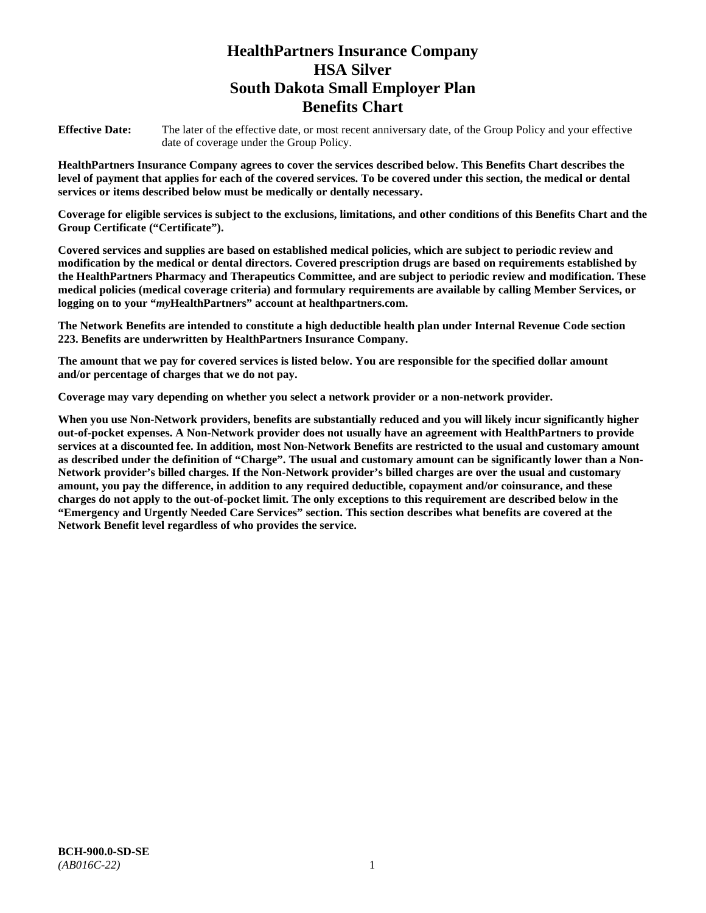# **HealthPartners Insurance Company HSA Silver South Dakota Small Employer Plan Benefits Chart**

**Effective Date:** The later of the effective date, or most recent anniversary date, of the Group Policy and your effective date of coverage under the Group Policy.

**HealthPartners Insurance Company agrees to cover the services described below. This Benefits Chart describes the level of payment that applies for each of the covered services. To be covered under this section, the medical or dental services or items described below must be medically or dentally necessary.**

**Coverage for eligible services is subject to the exclusions, limitations, and other conditions of this Benefits Chart and the Group Certificate ("Certificate").**

**Covered services and supplies are based on established medical policies, which are subject to periodic review and modification by the medical or dental directors. Covered prescription drugs are based on requirements established by the HealthPartners Pharmacy and Therapeutics Committee, and are subject to periodic review and modification. These medical policies (medical coverage criteria) and formulary requirements are available by calling Member Services, or logging on to your "***my***HealthPartners" account at [healthpartners.com.](file://isntmacsrv0/www.healthpartners.com)**

**The Network Benefits are intended to constitute a high deductible health plan under Internal Revenue Code section 223. Benefits are underwritten by HealthPartners Insurance Company.**

**The amount that we pay for covered services is listed below. You are responsible for the specified dollar amount and/or percentage of charges that we do not pay.**

**Coverage may vary depending on whether you select a network provider or a non-network provider.**

**When you use Non-Network providers, benefits are substantially reduced and you will likely incur significantly higher out-of-pocket expenses. A Non-Network provider does not usually have an agreement with HealthPartners to provide services at a discounted fee. In addition, most Non-Network Benefits are restricted to the usual and customary amount as described under the definition of "Charge". The usual and customary amount can be significantly lower than a Non-Network provider's billed charges. If the Non-Network provider's billed charges are over the usual and customary amount, you pay the difference, in addition to any required deductible, copayment and/or coinsurance, and these charges do not apply to the out-of-pocket limit. The only exceptions to this requirement are described below in the "Emergency and Urgently Needed Care Services" section. This section describes what benefits are covered at the Network Benefit level regardless of who provides the service.**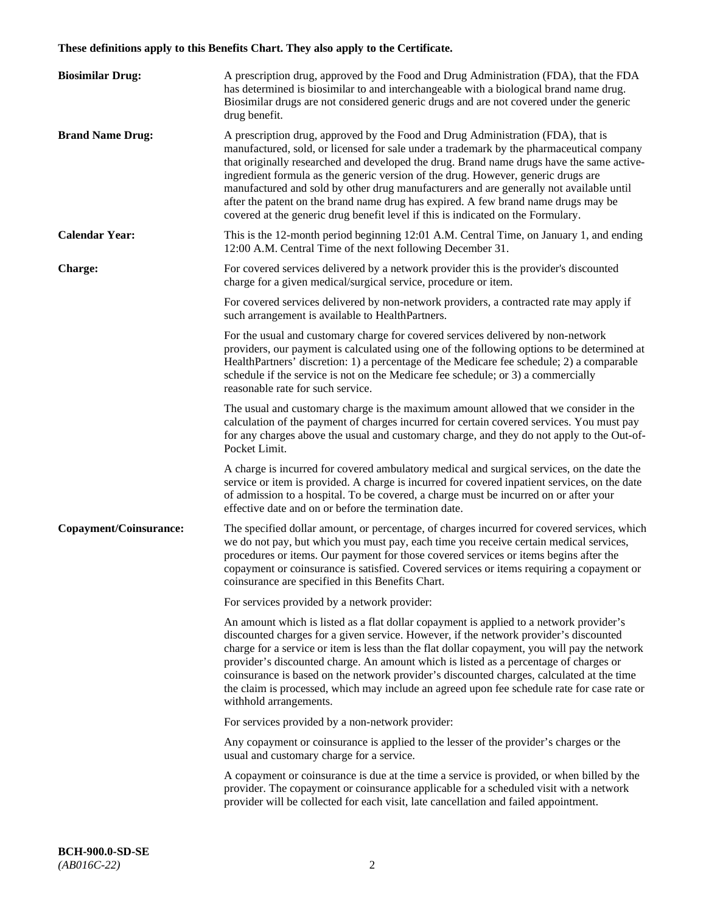# **These definitions apply to this Benefits Chart. They also apply to the Certificate.**

| <b>Biosimilar Drug:</b> | A prescription drug, approved by the Food and Drug Administration (FDA), that the FDA<br>has determined is biosimilar to and interchangeable with a biological brand name drug.<br>Biosimilar drugs are not considered generic drugs and are not covered under the generic<br>drug benefit.                                                                                                                                                                                                                                                                                                                                         |
|-------------------------|-------------------------------------------------------------------------------------------------------------------------------------------------------------------------------------------------------------------------------------------------------------------------------------------------------------------------------------------------------------------------------------------------------------------------------------------------------------------------------------------------------------------------------------------------------------------------------------------------------------------------------------|
| <b>Brand Name Drug:</b> | A prescription drug, approved by the Food and Drug Administration (FDA), that is<br>manufactured, sold, or licensed for sale under a trademark by the pharmaceutical company<br>that originally researched and developed the drug. Brand name drugs have the same active-<br>ingredient formula as the generic version of the drug. However, generic drugs are<br>manufactured and sold by other drug manufacturers and are generally not available until<br>after the patent on the brand name drug has expired. A few brand name drugs may be<br>covered at the generic drug benefit level if this is indicated on the Formulary. |
| <b>Calendar Year:</b>   | This is the 12-month period beginning 12:01 A.M. Central Time, on January 1, and ending<br>12:00 A.M. Central Time of the next following December 31.                                                                                                                                                                                                                                                                                                                                                                                                                                                                               |
| <b>Charge:</b>          | For covered services delivered by a network provider this is the provider's discounted<br>charge for a given medical/surgical service, procedure or item.                                                                                                                                                                                                                                                                                                                                                                                                                                                                           |
|                         | For covered services delivered by non-network providers, a contracted rate may apply if<br>such arrangement is available to HealthPartners.                                                                                                                                                                                                                                                                                                                                                                                                                                                                                         |
|                         | For the usual and customary charge for covered services delivered by non-network<br>providers, our payment is calculated using one of the following options to be determined at<br>HealthPartners' discretion: 1) a percentage of the Medicare fee schedule; 2) a comparable<br>schedule if the service is not on the Medicare fee schedule; or 3) a commercially<br>reasonable rate for such service.                                                                                                                                                                                                                              |
|                         | The usual and customary charge is the maximum amount allowed that we consider in the<br>calculation of the payment of charges incurred for certain covered services. You must pay<br>for any charges above the usual and customary charge, and they do not apply to the Out-of-<br>Pocket Limit.                                                                                                                                                                                                                                                                                                                                    |
|                         | A charge is incurred for covered ambulatory medical and surgical services, on the date the<br>service or item is provided. A charge is incurred for covered inpatient services, on the date<br>of admission to a hospital. To be covered, a charge must be incurred on or after your<br>effective date and on or before the termination date.                                                                                                                                                                                                                                                                                       |
| Copayment/Coinsurance:  | The specified dollar amount, or percentage, of charges incurred for covered services, which<br>we do not pay, but which you must pay, each time you receive certain medical services,<br>procedures or items. Our payment for those covered services or items begins after the<br>copayment or coinsurance is satisfied. Covered services or items requiring a copayment or<br>coinsurance are specified in this Benefits Chart.                                                                                                                                                                                                    |
|                         | For services provided by a network provider:                                                                                                                                                                                                                                                                                                                                                                                                                                                                                                                                                                                        |
|                         | An amount which is listed as a flat dollar copayment is applied to a network provider's<br>discounted charges for a given service. However, if the network provider's discounted<br>charge for a service or item is less than the flat dollar copayment, you will pay the network<br>provider's discounted charge. An amount which is listed as a percentage of charges or<br>coinsurance is based on the network provider's discounted charges, calculated at the time<br>the claim is processed, which may include an agreed upon fee schedule rate for case rate or<br>withhold arrangements.                                    |
|                         | For services provided by a non-network provider:                                                                                                                                                                                                                                                                                                                                                                                                                                                                                                                                                                                    |
|                         | Any copayment or coinsurance is applied to the lesser of the provider's charges or the<br>usual and customary charge for a service.                                                                                                                                                                                                                                                                                                                                                                                                                                                                                                 |
|                         | A copayment or coinsurance is due at the time a service is provided, or when billed by the<br>provider. The copayment or coinsurance applicable for a scheduled visit with a network<br>provider will be collected for each visit, late cancellation and failed appointment.                                                                                                                                                                                                                                                                                                                                                        |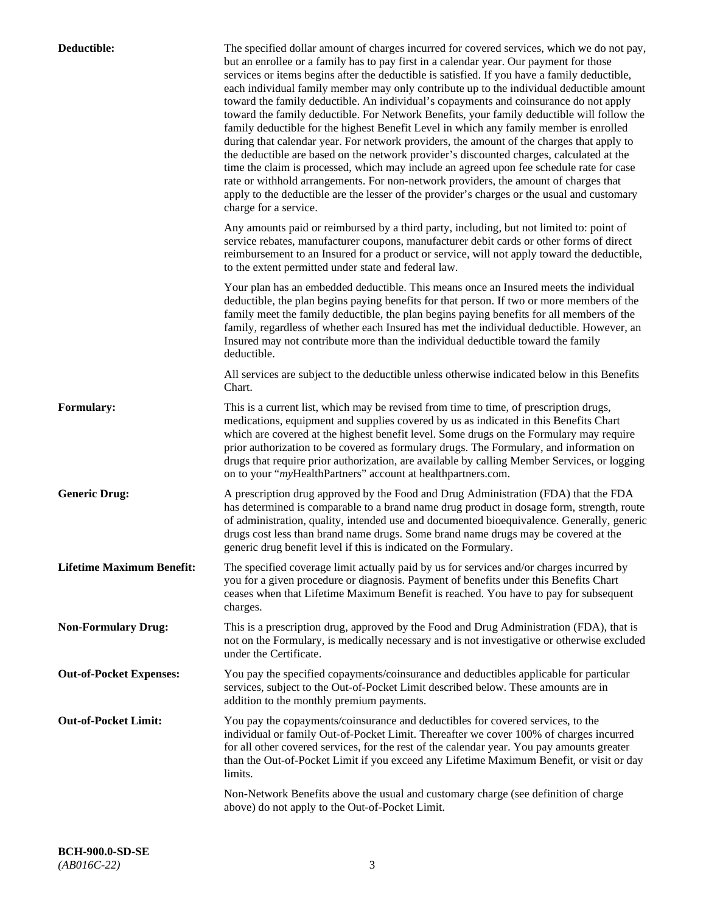| Deductible:                      | The specified dollar amount of charges incurred for covered services, which we do not pay,<br>but an enrollee or a family has to pay first in a calendar year. Our payment for those<br>services or items begins after the deductible is satisfied. If you have a family deductible,<br>each individual family member may only contribute up to the individual deductible amount<br>toward the family deductible. An individual's copayments and coinsurance do not apply<br>toward the family deductible. For Network Benefits, your family deductible will follow the<br>family deductible for the highest Benefit Level in which any family member is enrolled<br>during that calendar year. For network providers, the amount of the charges that apply to<br>the deductible are based on the network provider's discounted charges, calculated at the<br>time the claim is processed, which may include an agreed upon fee schedule rate for case<br>rate or withhold arrangements. For non-network providers, the amount of charges that<br>apply to the deductible are the lesser of the provider's charges or the usual and customary<br>charge for a service. |
|----------------------------------|------------------------------------------------------------------------------------------------------------------------------------------------------------------------------------------------------------------------------------------------------------------------------------------------------------------------------------------------------------------------------------------------------------------------------------------------------------------------------------------------------------------------------------------------------------------------------------------------------------------------------------------------------------------------------------------------------------------------------------------------------------------------------------------------------------------------------------------------------------------------------------------------------------------------------------------------------------------------------------------------------------------------------------------------------------------------------------------------------------------------------------------------------------------------|
|                                  | Any amounts paid or reimbursed by a third party, including, but not limited to: point of<br>service rebates, manufacturer coupons, manufacturer debit cards or other forms of direct<br>reimbursement to an Insured for a product or service, will not apply toward the deductible,<br>to the extent permitted under state and federal law.                                                                                                                                                                                                                                                                                                                                                                                                                                                                                                                                                                                                                                                                                                                                                                                                                            |
|                                  | Your plan has an embedded deductible. This means once an Insured meets the individual<br>deductible, the plan begins paying benefits for that person. If two or more members of the<br>family meet the family deductible, the plan begins paying benefits for all members of the<br>family, regardless of whether each Insured has met the individual deductible. However, an<br>Insured may not contribute more than the individual deductible toward the family<br>deductible.                                                                                                                                                                                                                                                                                                                                                                                                                                                                                                                                                                                                                                                                                       |
|                                  | All services are subject to the deductible unless otherwise indicated below in this Benefits<br>Chart.                                                                                                                                                                                                                                                                                                                                                                                                                                                                                                                                                                                                                                                                                                                                                                                                                                                                                                                                                                                                                                                                 |
| <b>Formulary:</b>                | This is a current list, which may be revised from time to time, of prescription drugs,<br>medications, equipment and supplies covered by us as indicated in this Benefits Chart<br>which are covered at the highest benefit level. Some drugs on the Formulary may require<br>prior authorization to be covered as formulary drugs. The Formulary, and information on<br>drugs that require prior authorization, are available by calling Member Services, or logging<br>on to your "myHealthPartners" account at healthpartners.com.                                                                                                                                                                                                                                                                                                                                                                                                                                                                                                                                                                                                                                  |
| <b>Generic Drug:</b>             | A prescription drug approved by the Food and Drug Administration (FDA) that the FDA<br>has determined is comparable to a brand name drug product in dosage form, strength, route<br>of administration, quality, intended use and documented bioequivalence. Generally, generic<br>drugs cost less than brand name drugs. Some brand name drugs may be covered at the<br>generic drug benefit level if this is indicated on the Formulary.                                                                                                                                                                                                                                                                                                                                                                                                                                                                                                                                                                                                                                                                                                                              |
| <b>Lifetime Maximum Benefit:</b> | The specified coverage limit actually paid by us for services and/or charges incurred by<br>you for a given procedure or diagnosis. Payment of benefits under this Benefits Chart<br>ceases when that Lifetime Maximum Benefit is reached. You have to pay for subsequent<br>charges.                                                                                                                                                                                                                                                                                                                                                                                                                                                                                                                                                                                                                                                                                                                                                                                                                                                                                  |
| <b>Non-Formulary Drug:</b>       | This is a prescription drug, approved by the Food and Drug Administration (FDA), that is<br>not on the Formulary, is medically necessary and is not investigative or otherwise excluded<br>under the Certificate.                                                                                                                                                                                                                                                                                                                                                                                                                                                                                                                                                                                                                                                                                                                                                                                                                                                                                                                                                      |
| <b>Out-of-Pocket Expenses:</b>   | You pay the specified copayments/coinsurance and deductibles applicable for particular<br>services, subject to the Out-of-Pocket Limit described below. These amounts are in<br>addition to the monthly premium payments.                                                                                                                                                                                                                                                                                                                                                                                                                                                                                                                                                                                                                                                                                                                                                                                                                                                                                                                                              |
| <b>Out-of-Pocket Limit:</b>      | You pay the copayments/coinsurance and deductibles for covered services, to the<br>individual or family Out-of-Pocket Limit. Thereafter we cover 100% of charges incurred<br>for all other covered services, for the rest of the calendar year. You pay amounts greater<br>than the Out-of-Pocket Limit if you exceed any Lifetime Maximum Benefit, or visit or day<br>limits.                                                                                                                                                                                                                                                                                                                                                                                                                                                                                                                                                                                                                                                                                                                                                                                         |
|                                  | Non-Network Benefits above the usual and customary charge (see definition of charge<br>above) do not apply to the Out-of-Pocket Limit.                                                                                                                                                                                                                                                                                                                                                                                                                                                                                                                                                                                                                                                                                                                                                                                                                                                                                                                                                                                                                                 |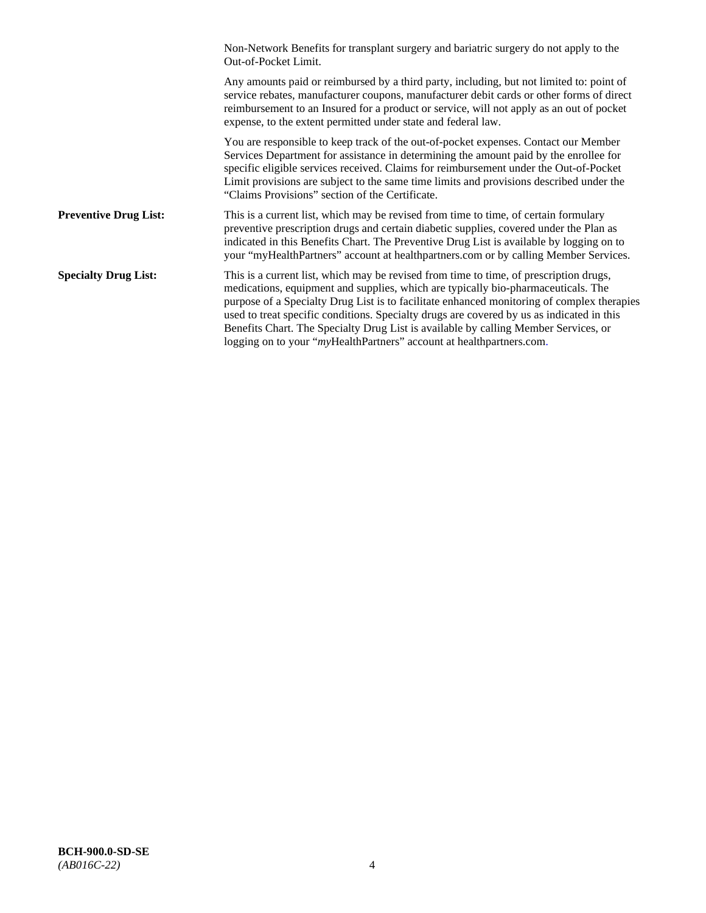|                              | Non-Network Benefits for transplant surgery and bariatric surgery do not apply to the<br>Out-of-Pocket Limit.                                                                                                                                                                                                                                                                                                                                                                                                                         |
|------------------------------|---------------------------------------------------------------------------------------------------------------------------------------------------------------------------------------------------------------------------------------------------------------------------------------------------------------------------------------------------------------------------------------------------------------------------------------------------------------------------------------------------------------------------------------|
|                              | Any amounts paid or reimbursed by a third party, including, but not limited to: point of<br>service rebates, manufacturer coupons, manufacturer debit cards or other forms of direct<br>reimbursement to an Insured for a product or service, will not apply as an out of pocket<br>expense, to the extent permitted under state and federal law.                                                                                                                                                                                     |
|                              | You are responsible to keep track of the out-of-pocket expenses. Contact our Member<br>Services Department for assistance in determining the amount paid by the enrollee for<br>specific eligible services received. Claims for reimbursement under the Out-of-Pocket<br>Limit provisions are subject to the same time limits and provisions described under the<br>"Claims Provisions" section of the Certificate.                                                                                                                   |
| <b>Preventive Drug List:</b> | This is a current list, which may be revised from time to time, of certain formulary<br>preventive prescription drugs and certain diabetic supplies, covered under the Plan as<br>indicated in this Benefits Chart. The Preventive Drug List is available by logging on to<br>your "myHealthPartners" account at healthpartners.com or by calling Member Services.                                                                                                                                                                    |
| <b>Specialty Drug List:</b>  | This is a current list, which may be revised from time to time, of prescription drugs,<br>medications, equipment and supplies, which are typically bio-pharmaceuticals. The<br>purpose of a Specialty Drug List is to facilitate enhanced monitoring of complex therapies<br>used to treat specific conditions. Specialty drugs are covered by us as indicated in this<br>Benefits Chart. The Specialty Drug List is available by calling Member Services, or<br>logging on to your "myHealthPartners" account at healthpartners.com. |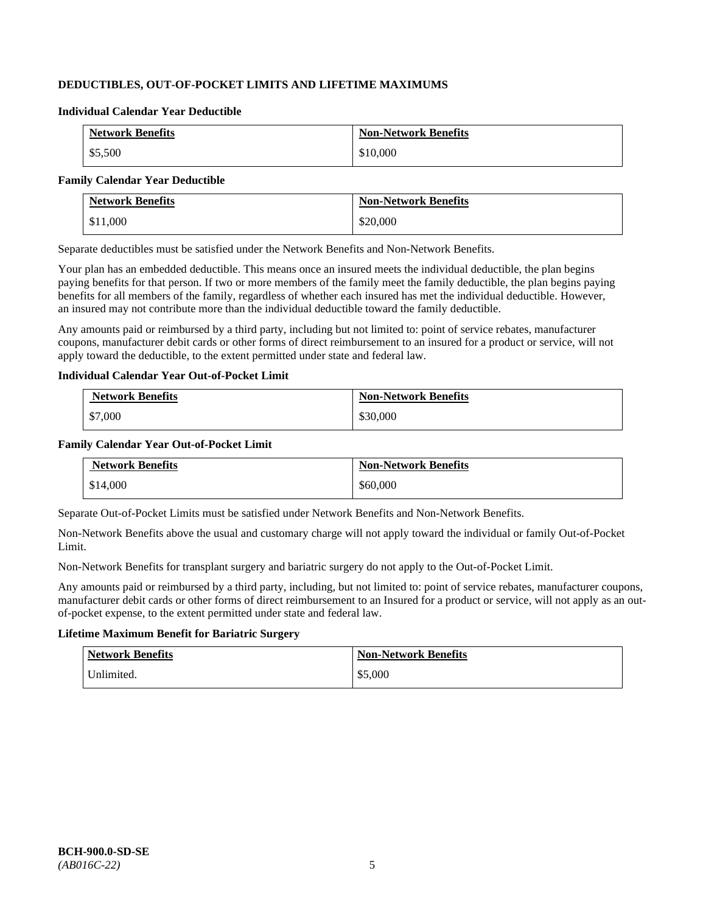# **DEDUCTIBLES, OUT-OF-POCKET LIMITS AND LIFETIME MAXIMUMS**

#### **Individual Calendar Year Deductible**

| <b>Network Benefits</b> | <b>Non-Network Benefits</b> |
|-------------------------|-----------------------------|
| \$5,500                 | \$10,000                    |

#### **Family Calendar Year Deductible**

| <b>Network Benefits</b> | <b>Non-Network Benefits</b> |
|-------------------------|-----------------------------|
| \$11,000                | \$20,000                    |

Separate deductibles must be satisfied under the Network Benefits and Non-Network Benefits.

Your plan has an embedded deductible. This means once an insured meets the individual deductible, the plan begins paying benefits for that person. If two or more members of the family meet the family deductible, the plan begins paying benefits for all members of the family, regardless of whether each insured has met the individual deductible. However, an insured may not contribute more than the individual deductible toward the family deductible.

Any amounts paid or reimbursed by a third party, including but not limited to: point of service rebates, manufacturer coupons, manufacturer debit cards or other forms of direct reimbursement to an insured for a product or service, will not apply toward the deductible, to the extent permitted under state and federal law.

### **Individual Calendar Year Out-of-Pocket Limit**

| <b>Network Benefits</b> | <b>Non-Network Benefits</b> |
|-------------------------|-----------------------------|
| \$7,000                 | \$30,000                    |

### **Family Calendar Year Out-of-Pocket Limit**

| <b>Network Benefits</b> | <b>Non-Network Benefits</b> |
|-------------------------|-----------------------------|
| \$14,000                | \$60,000                    |

Separate Out-of-Pocket Limits must be satisfied under Network Benefits and Non-Network Benefits.

Non-Network Benefits above the usual and customary charge will not apply toward the individual or family Out-of-Pocket Limit.

Non-Network Benefits for transplant surgery and bariatric surgery do not apply to the Out-of-Pocket Limit.

Any amounts paid or reimbursed by a third party, including, but not limited to: point of service rebates, manufacturer coupons, manufacturer debit cards or other forms of direct reimbursement to an Insured for a product or service, will not apply as an outof-pocket expense, to the extent permitted under state and federal law.

### **Lifetime Maximum Benefit for Bariatric Surgery**

| <b>Network Benefits</b> | <b>Non-Network Benefits</b> |
|-------------------------|-----------------------------|
| Unlimited.              | \$5,000                     |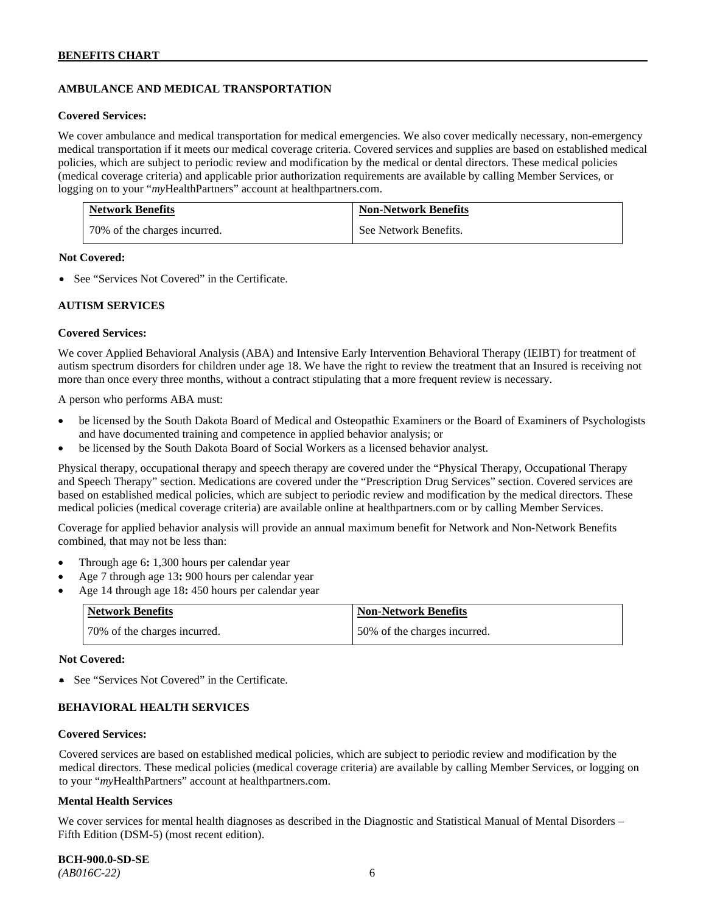# **AMBULANCE AND MEDICAL TRANSPORTATION**

#### **Covered Services:**

We cover ambulance and medical transportation for medical emergencies. We also cover medically necessary, non-emergency medical transportation if it meets our medical coverage criteria. Covered services and supplies are based on established medical policies, which are subject to periodic review and modification by the medical or dental directors. These medical policies (medical coverage criteria) and applicable prior authorization requirements are available by calling Member Services, or logging on to your "*my*HealthPartners" account at [healthpartners.com.](http://healthpartners.com/)

| <b>Network Benefits</b>      | <b>Non-Network Benefits</b> |
|------------------------------|-----------------------------|
| 70% of the charges incurred. | See Network Benefits.       |

### **Not Covered:**

• See "Services Not Covered" in the Certificate.

### **AUTISM SERVICES**

### **Covered Services:**

We cover Applied Behavioral Analysis (ABA) and Intensive Early Intervention Behavioral Therapy (IEIBT) for treatment of autism spectrum disorders for children under age 18. We have the right to review the treatment that an Insured is receiving not more than once every three months, without a contract stipulating that a more frequent review is necessary.

A person who performs ABA must:

- be licensed by the South Dakota Board of Medical and Osteopathic Examiners or the Board of Examiners of Psychologists and have documented training and competence in applied behavior analysis; or
- be licensed by the South Dakota Board of Social Workers as a licensed behavior analyst.

Physical therapy, occupational therapy and speech therapy are covered under the "Physical Therapy, Occupational Therapy and Speech Therapy" section. Medications are covered under the "Prescription Drug Services" section. Covered services are based on established medical policies, which are subject to periodic review and modification by the medical directors. These medical policies (medical coverage criteria) are available online at [healthpartners.com](http://healthpartners.com/) or by calling Member Services.

Coverage for applied behavior analysis will provide an annual maximum benefit for Network and Non-Network Benefits combined, that may not be less than:

- Through age 6**:** 1,300 hours per calendar year
- Age 7 through age 13**:** 900 hours per calendar year
- Age 14 through age 18**:** 450 hours per calendar year

| <b>Network Benefits</b>      | <b>Non-Network Benefits</b>  |
|------------------------------|------------------------------|
| 70% of the charges incurred. | 50% of the charges incurred. |

#### **Not Covered:**

• See "Services Not Covered" in the Certificate.

# **BEHAVIORAL HEALTH SERVICES**

#### **Covered Services:**

Covered services are based on established medical policies, which are subject to periodic review and modification by the medical directors. These medical policies (medical coverage criteria) are available by calling Member Services, or logging on to your "*my*HealthPartners" account at [healthpartners.com.](http://healthpartners.com/)

#### **Mental Health Services**

We cover services for mental health diagnoses as described in the Diagnostic and Statistical Manual of Mental Disorders – Fifth Edition (DSM-5) (most recent edition).

**BCH-900.0-SD-SE**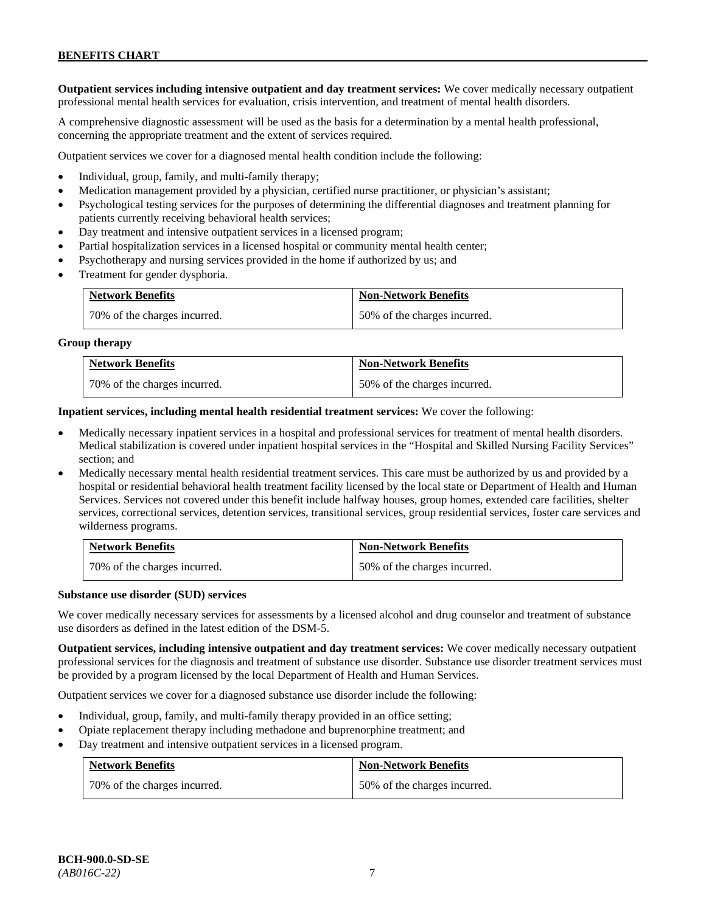**Outpatient services including intensive outpatient and day treatment services:** We cover medically necessary outpatient professional mental health services for evaluation, crisis intervention, and treatment of mental health disorders.

A comprehensive diagnostic assessment will be used as the basis for a determination by a mental health professional, concerning the appropriate treatment and the extent of services required.

Outpatient services we cover for a diagnosed mental health condition include the following:

- Individual, group, family, and multi-family therapy;
- Medication management provided by a physician, certified nurse practitioner, or physician's assistant;
- Psychological testing services for the purposes of determining the differential diagnoses and treatment planning for patients currently receiving behavioral health services;
- Day treatment and intensive outpatient services in a licensed program;
- Partial hospitalization services in a licensed hospital or community mental health center;
- Psychotherapy and nursing services provided in the home if authorized by us; and
- Treatment for gender dysphoria.

| <b>Network Benefits</b>      | <b>Non-Network Benefits</b>  |
|------------------------------|------------------------------|
| 70% of the charges incurred. | 50% of the charges incurred. |

#### **Group therapy**

| <b>Network Benefits</b>      | <b>Non-Network Benefits</b>  |
|------------------------------|------------------------------|
| 70% of the charges incurred. | 50% of the charges incurred. |

**Inpatient services, including mental health residential treatment services:** We cover the following:

- Medically necessary inpatient services in a hospital and professional services for treatment of mental health disorders. Medical stabilization is covered under inpatient hospital services in the "Hospital and Skilled Nursing Facility Services" section; and
- Medically necessary mental health residential treatment services. This care must be authorized by us and provided by a hospital or residential behavioral health treatment facility licensed by the local state or Department of Health and Human Services. Services not covered under this benefit include halfway houses, group homes, extended care facilities, shelter services, correctional services, detention services, transitional services, group residential services, foster care services and wilderness programs.

| <b>Network Benefits</b>      | <b>Non-Network Benefits</b>  |
|------------------------------|------------------------------|
| 70% of the charges incurred. | 50% of the charges incurred. |

#### **Substance use disorder (SUD) services**

We cover medically necessary services for assessments by a licensed alcohol and drug counselor and treatment of substance use disorders as defined in the latest edition of the DSM-5.

**Outpatient services, including intensive outpatient and day treatment services:** We cover medically necessary outpatient professional services for the diagnosis and treatment of substance use disorder. Substance use disorder treatment services must be provided by a program licensed by the local Department of Health and Human Services.

Outpatient services we cover for a diagnosed substance use disorder include the following:

- Individual, group, family, and multi-family therapy provided in an office setting;
- Opiate replacement therapy including methadone and buprenorphine treatment; and
- Day treatment and intensive outpatient services in a licensed program.

| <b>Network Benefits</b>      | <b>Non-Network Benefits</b>  |
|------------------------------|------------------------------|
| 70% of the charges incurred. | 50% of the charges incurred. |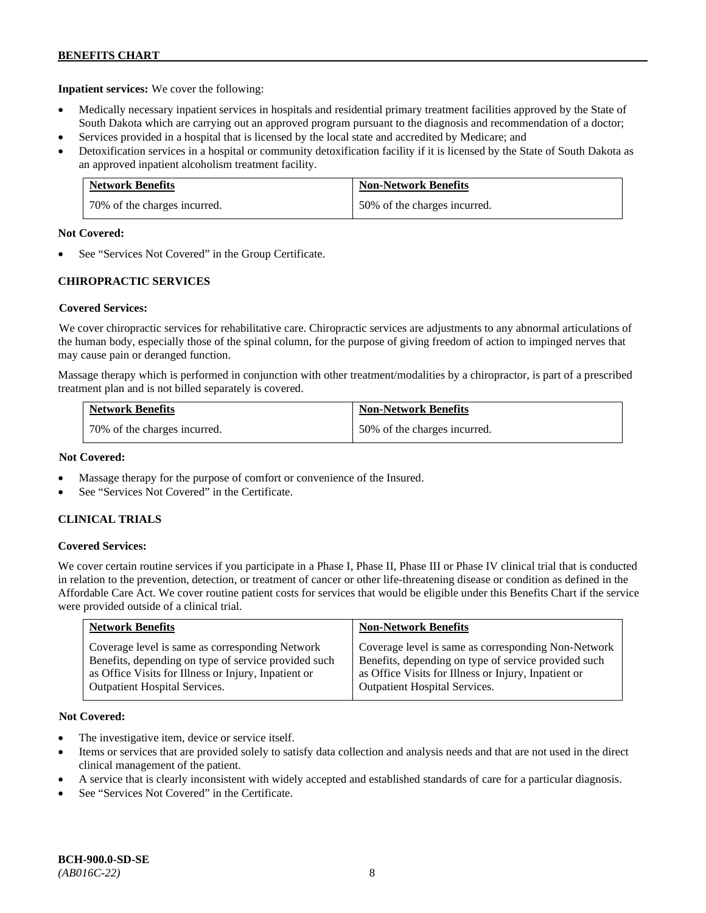**Inpatient services:** We cover the following:

- Medically necessary inpatient services in hospitals and residential primary treatment facilities approved by the State of South Dakota which are carrying out an approved program pursuant to the diagnosis and recommendation of a doctor;
- Services provided in a hospital that is licensed by the local state and accredited by Medicare; and
- Detoxification services in a hospital or community detoxification facility if it is licensed by the State of South Dakota as an approved inpatient alcoholism treatment facility.

| <b>Network Benefits</b>      | <b>Non-Network Benefits</b>  |
|------------------------------|------------------------------|
| 70% of the charges incurred. | 50% of the charges incurred. |

### **Not Covered:**

See "Services Not Covered" in the Group Certificate.

### **CHIROPRACTIC SERVICES**

### **Covered Services:**

We cover chiropractic services for rehabilitative care. Chiropractic services are adjustments to any abnormal articulations of the human body, especially those of the spinal column, for the purpose of giving freedom of action to impinged nerves that may cause pain or deranged function.

Massage therapy which is performed in conjunction with other treatment/modalities by a chiropractor, is part of a prescribed treatment plan and is not billed separately is covered.

| <b>Network Benefits</b>      | <b>Non-Network Benefits</b>  |
|------------------------------|------------------------------|
| 70% of the charges incurred. | 50% of the charges incurred. |

### **Not Covered:**

- Massage therapy for the purpose of comfort or convenience of the Insured.
- See "Services Not Covered" in the Certificate.

### **CLINICAL TRIALS**

### **Covered Services:**

We cover certain routine services if you participate in a Phase I, Phase II, Phase III or Phase IV clinical trial that is conducted in relation to the prevention, detection, or treatment of cancer or other life-threatening disease or condition as defined in the Affordable Care Act. We cover routine patient costs for services that would be eligible under this Benefits Chart if the service were provided outside of a clinical trial.

| <b>Network Benefits</b>                              | <b>Non-Network Benefits</b>                          |
|------------------------------------------------------|------------------------------------------------------|
| Coverage level is same as corresponding Network      | Coverage level is same as corresponding Non-Network  |
| Benefits, depending on type of service provided such | Benefits, depending on type of service provided such |
| as Office Visits for Illness or Injury, Inpatient or | as Office Visits for Illness or Injury, Inpatient or |
| <b>Outpatient Hospital Services.</b>                 | <b>Outpatient Hospital Services.</b>                 |

### **Not Covered:**

- The investigative item, device or service itself.
- Items or services that are provided solely to satisfy data collection and analysis needs and that are not used in the direct clinical management of the patient.
- A service that is clearly inconsistent with widely accepted and established standards of care for a particular diagnosis.
- See "Services Not Covered" in the Certificate.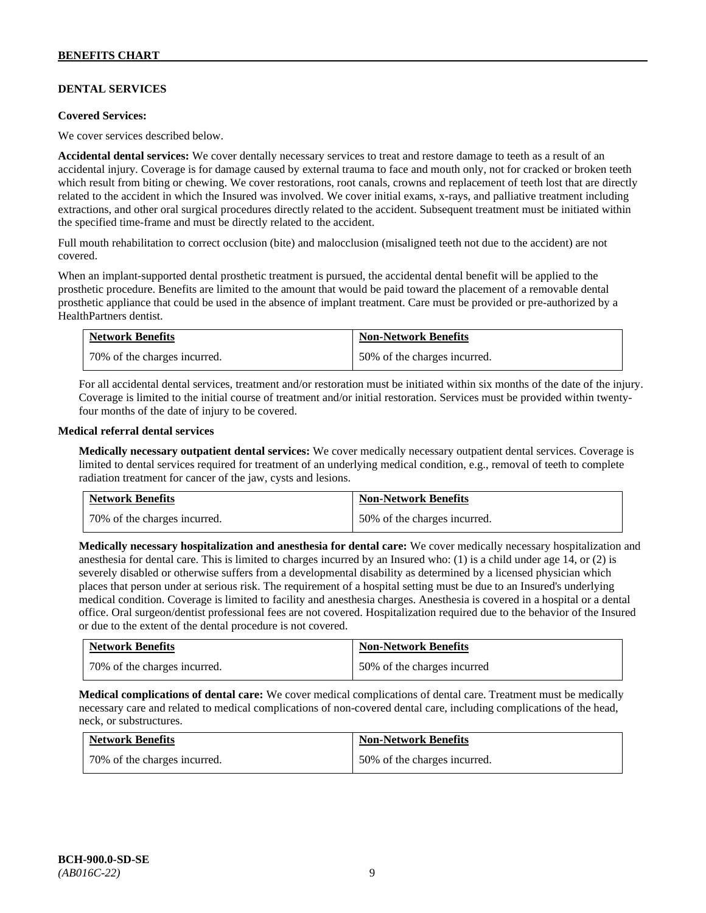# **DENTAL SERVICES**

#### **Covered Services:**

We cover services described below.

**Accidental dental services:** We cover dentally necessary services to treat and restore damage to teeth as a result of an accidental injury. Coverage is for damage caused by external trauma to face and mouth only, not for cracked or broken teeth which result from biting or chewing. We cover restorations, root canals, crowns and replacement of teeth lost that are directly related to the accident in which the Insured was involved. We cover initial exams, x-rays, and palliative treatment including extractions, and other oral surgical procedures directly related to the accident. Subsequent treatment must be initiated within the specified time-frame and must be directly related to the accident.

Full mouth rehabilitation to correct occlusion (bite) and malocclusion (misaligned teeth not due to the accident) are not covered.

When an implant-supported dental prosthetic treatment is pursued, the accidental dental benefit will be applied to the prosthetic procedure. Benefits are limited to the amount that would be paid toward the placement of a removable dental prosthetic appliance that could be used in the absence of implant treatment. Care must be provided or pre-authorized by a HealthPartners dentist.

| <b>Network Benefits</b>      | <b>Non-Network Benefits</b>  |
|------------------------------|------------------------------|
| 70% of the charges incurred. | 50% of the charges incurred. |

For all accidental dental services, treatment and/or restoration must be initiated within six months of the date of the injury. Coverage is limited to the initial course of treatment and/or initial restoration. Services must be provided within twentyfour months of the date of injury to be covered.

### **Medical referral dental services**

**Medically necessary outpatient dental services:** We cover medically necessary outpatient dental services. Coverage is limited to dental services required for treatment of an underlying medical condition, e.g., removal of teeth to complete radiation treatment for cancer of the jaw, cysts and lesions.

| <b>Network Benefits</b>      | <b>Non-Network Benefits</b>  |
|------------------------------|------------------------------|
| 70% of the charges incurred. | 50% of the charges incurred. |

**Medically necessary hospitalization and anesthesia for dental care:** We cover medically necessary hospitalization and anesthesia for dental care. This is limited to charges incurred by an Insured who: (1) is a child under age 14, or (2) is severely disabled or otherwise suffers from a developmental disability as determined by a licensed physician which places that person under at serious risk. The requirement of a hospital setting must be due to an Insured's underlying medical condition. Coverage is limited to facility and anesthesia charges. Anesthesia is covered in a hospital or a dental office. Oral surgeon/dentist professional fees are not covered. Hospitalization required due to the behavior of the Insured or due to the extent of the dental procedure is not covered.

| <b>Network Benefits</b>      | <b>Non-Network Benefits</b> |
|------------------------------|-----------------------------|
| 70% of the charges incurred. | 50% of the charges incurred |

**Medical complications of dental care:** We cover medical complications of dental care. Treatment must be medically necessary care and related to medical complications of non-covered dental care, including complications of the head, neck, or substructures.

| <b>Network Benefits</b>      | <b>Non-Network Benefits</b>  |
|------------------------------|------------------------------|
| 70% of the charges incurred. | 50% of the charges incurred. |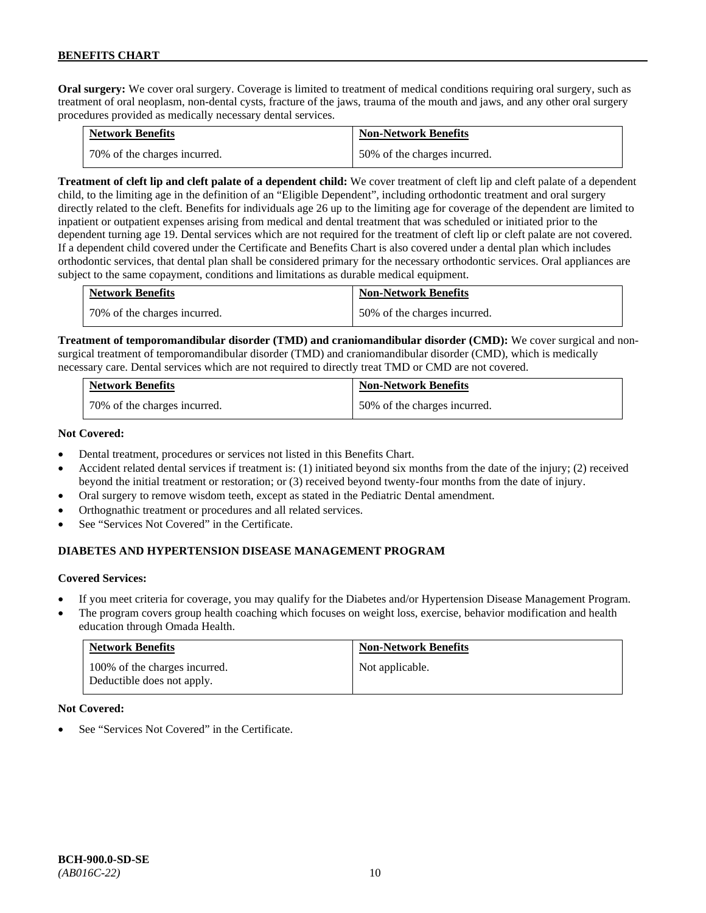**Oral surgery:** We cover oral surgery. Coverage is limited to treatment of medical conditions requiring oral surgery, such as treatment of oral neoplasm, non-dental cysts, fracture of the jaws, trauma of the mouth and jaws, and any other oral surgery procedures provided as medically necessary dental services.

| <b>Network Benefits</b>      | <b>Non-Network Benefits</b>  |
|------------------------------|------------------------------|
| 70% of the charges incurred. | 50% of the charges incurred. |

**Treatment of cleft lip and cleft palate of a dependent child:** We cover treatment of cleft lip and cleft palate of a dependent child, to the limiting age in the definition of an "Eligible Dependent", including orthodontic treatment and oral surgery directly related to the cleft. Benefits for individuals age 26 up to the limiting age for coverage of the dependent are limited to inpatient or outpatient expenses arising from medical and dental treatment that was scheduled or initiated prior to the dependent turning age 19. Dental services which are not required for the treatment of cleft lip or cleft palate are not covered. If a dependent child covered under the Certificate and Benefits Chart is also covered under a dental plan which includes orthodontic services, that dental plan shall be considered primary for the necessary orthodontic services. Oral appliances are subject to the same copayment, conditions and limitations as durable medical equipment.

| <b>Network Benefits</b>      | <b>Non-Network Benefits</b>  |
|------------------------------|------------------------------|
| 70% of the charges incurred. | 50% of the charges incurred. |

**Treatment of temporomandibular disorder (TMD) and craniomandibular disorder (CMD):** We cover surgical and nonsurgical treatment of temporomandibular disorder (TMD) and craniomandibular disorder (CMD), which is medically necessary care. Dental services which are not required to directly treat TMD or CMD are not covered.

| <b>Network Benefits</b>      | <b>Non-Network Benefits</b>  |
|------------------------------|------------------------------|
| 70% of the charges incurred. | 50% of the charges incurred. |

### **Not Covered:**

- Dental treatment, procedures or services not listed in this Benefits Chart.
- Accident related dental services if treatment is: (1) initiated beyond six months from the date of the injury; (2) received beyond the initial treatment or restoration; or (3) received beyond twenty-four months from the date of injury.
- Oral surgery to remove wisdom teeth, except as stated in the Pediatric Dental amendment.
- Orthognathic treatment or procedures and all related services.
- See "Services Not Covered" in the Certificate.

# **DIABETES AND HYPERTENSION DISEASE MANAGEMENT PROGRAM**

### **Covered Services:**

- If you meet criteria for coverage, you may qualify for the Diabetes and/or Hypertension Disease Management Program.
- The program covers group health coaching which focuses on weight loss, exercise, behavior modification and health education through Omada Health.

| <b>Network Benefits</b>                                     | <b>Non-Network Benefits</b> |
|-------------------------------------------------------------|-----------------------------|
| 100% of the charges incurred.<br>Deductible does not apply. | Not applicable.             |

#### **Not Covered:**

See "Services Not Covered" in the Certificate.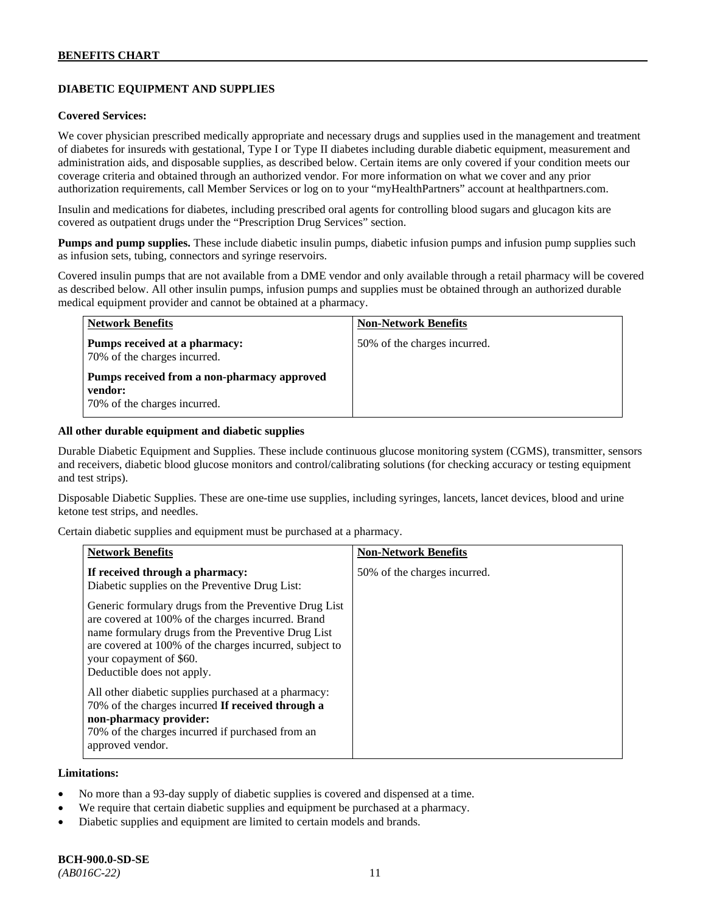# **DIABETIC EQUIPMENT AND SUPPLIES**

#### **Covered Services:**

We cover physician prescribed medically appropriate and necessary drugs and supplies used in the management and treatment of diabetes for insureds with gestational, Type I or Type II diabetes including durable diabetic equipment, measurement and administration aids, and disposable supplies, as described below. Certain items are only covered if your condition meets our coverage criteria and obtained through an authorized vendor. For more information on what we cover and any prior authorization requirements, call Member Services or log on to your "myHealthPartners" account at [healthpartners.com.](http://www.healthpartners.com/)

Insulin and medications for diabetes, including prescribed oral agents for controlling blood sugars and glucagon kits are covered as outpatient drugs under the "Prescription Drug Services" section.

**Pumps and pump supplies.** These include diabetic insulin pumps, diabetic infusion pumps and infusion pump supplies such as infusion sets, tubing, connectors and syringe reservoirs.

Covered insulin pumps that are not available from a DME vendor and only available through a retail pharmacy will be covered as described below. All other insulin pumps, infusion pumps and supplies must be obtained through an authorized durable medical equipment provider and cannot be obtained at a pharmacy.

| <b>Network Benefits</b>                                                                | <b>Non-Network Benefits</b>  |
|----------------------------------------------------------------------------------------|------------------------------|
| Pumps received at a pharmacy:<br>70% of the charges incurred.                          | 50% of the charges incurred. |
| Pumps received from a non-pharmacy approved<br>vendor:<br>70% of the charges incurred. |                              |

#### **All other durable equipment and diabetic supplies**

Durable Diabetic Equipment and Supplies. These include continuous glucose monitoring system (CGMS), transmitter, sensors and receivers, diabetic blood glucose monitors and control/calibrating solutions (for checking accuracy or testing equipment and test strips).

Disposable Diabetic Supplies. These are one-time use supplies, including syringes, lancets, lancet devices, blood and urine ketone test strips, and needles.

Certain diabetic supplies and equipment must be purchased at a pharmacy.

| <b>Network Benefits</b>                                                                                                                                                                                                                                                               | <b>Non-Network Benefits</b>  |
|---------------------------------------------------------------------------------------------------------------------------------------------------------------------------------------------------------------------------------------------------------------------------------------|------------------------------|
| If received through a pharmacy:<br>Diabetic supplies on the Preventive Drug List:                                                                                                                                                                                                     | 50% of the charges incurred. |
| Generic formulary drugs from the Preventive Drug List<br>are covered at 100% of the charges incurred. Brand<br>name formulary drugs from the Preventive Drug List<br>are covered at 100% of the charges incurred, subject to<br>your copayment of \$60.<br>Deductible does not apply. |                              |
| All other diabetic supplies purchased at a pharmacy:<br>70% of the charges incurred If received through a<br>non-pharmacy provider:<br>70% of the charges incurred if purchased from an<br>approved vendor.                                                                           |                              |

#### **Limitations:**

- No more than a 93-day supply of diabetic supplies is covered and dispensed at a time.
- We require that certain diabetic supplies and equipment be purchased at a pharmacy.
- Diabetic supplies and equipment are limited to certain models and brands.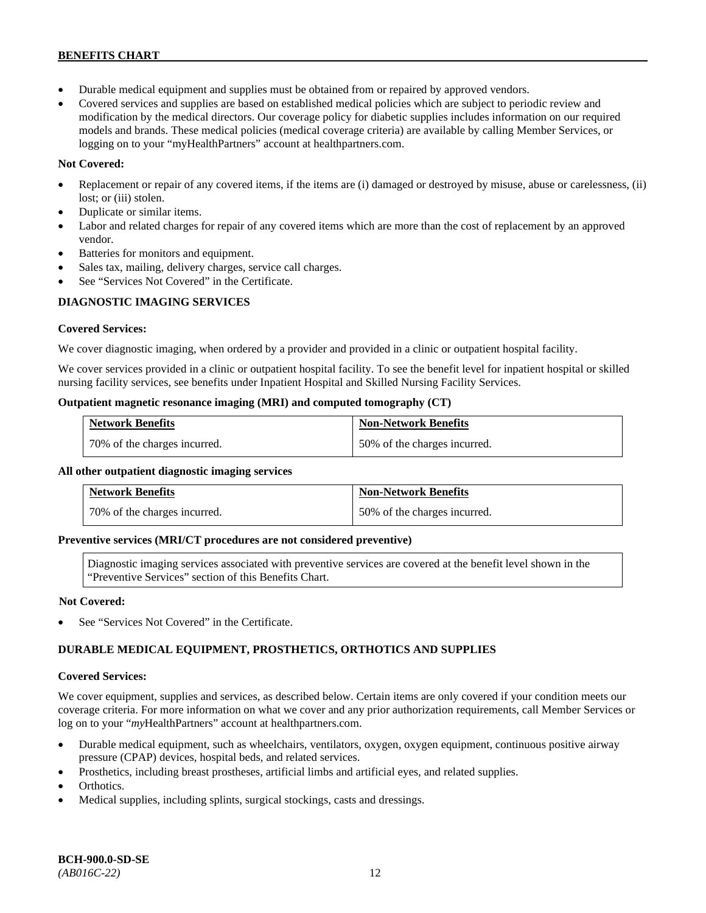- Durable medical equipment and supplies must be obtained from or repaired by approved vendors.
- Covered services and supplies are based on established medical policies which are subject to periodic review and modification by the medical directors. Our coverage policy for diabetic supplies includes information on our required models and brands. These medical policies (medical coverage criteria) are available by calling Member Services, or logging on to your "myHealthPartners" account at [healthpartners.com.](http://www.healthpartners.com/)

## **Not Covered:**

- Replacement or repair of any covered items, if the items are (i) damaged or destroyed by misuse, abuse or carelessness, (ii) lost; or (iii) stolen.
- Duplicate or similar items.
- Labor and related charges for repair of any covered items which are more than the cost of replacement by an approved vendor.
- Batteries for monitors and equipment.
- Sales tax, mailing, delivery charges, service call charges.
- See "Services Not Covered" in the Certificate.

# **DIAGNOSTIC IMAGING SERVICES**

### **Covered Services:**

We cover diagnostic imaging, when ordered by a provider and provided in a clinic or outpatient hospital facility.

We cover services provided in a clinic or outpatient hospital facility. To see the benefit level for inpatient hospital or skilled nursing facility services, see benefits under Inpatient Hospital and Skilled Nursing Facility Services.

### **Outpatient magnetic resonance imaging (MRI) and computed tomography (CT)**

| <b>Network Benefits</b>      | <b>Non-Network Benefits</b>  |
|------------------------------|------------------------------|
| 70% of the charges incurred. | 50% of the charges incurred. |

### **All other outpatient diagnostic imaging services**

| <b>Network Benefits</b>      | <b>Non-Network Benefits</b>  |
|------------------------------|------------------------------|
| 70% of the charges incurred. | 50% of the charges incurred. |

### **Preventive services (MRI/CT procedures are not considered preventive)**

Diagnostic imaging services associated with preventive services are covered at the benefit level shown in the "Preventive Services" section of this Benefits Chart.

### **Not Covered:**

See "Services Not Covered" in the Certificate.

# **DURABLE MEDICAL EQUIPMENT, PROSTHETICS, ORTHOTICS AND SUPPLIES**

### **Covered Services:**

We cover equipment, supplies and services, as described below. Certain items are only covered if your condition meets our coverage criteria. For more information on what we cover and any prior authorization requirements, call Member Services or log on to your "myHealthPartners" account at [healthpartners.com.](http://healthpartners.com/)

- Durable medical equipment, such as wheelchairs, ventilators, oxygen, oxygen equipment, continuous positive airway pressure (CPAP) devices, hospital beds, and related services.
- Prosthetics, including breast prostheses, artificial limbs and artificial eyes, and related supplies.
- Orthotics.
- Medical supplies, including splints, surgical stockings, casts and dressings.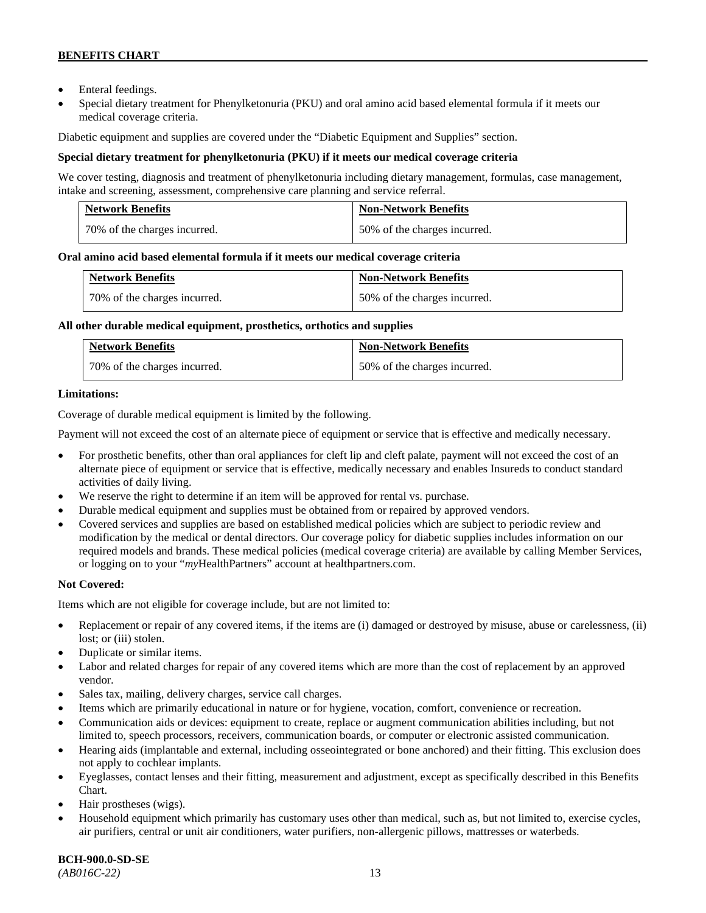- Enteral feedings.
- Special dietary treatment for Phenylketonuria (PKU) and oral amino acid based elemental formula if it meets our medical coverage criteria.

Diabetic equipment and supplies are covered under the "Diabetic Equipment and Supplies" section.

### **Special dietary treatment for phenylketonuria (PKU) if it meets our medical coverage criteria**

We cover testing, diagnosis and treatment of phenylketonuria including dietary management, formulas, case management, intake and screening, assessment, comprehensive care planning and service referral.

| <b>Network Benefits</b>      | <b>Non-Network Benefits</b>  |
|------------------------------|------------------------------|
| 70% of the charges incurred. | 50% of the charges incurred. |

### **Oral amino acid based elemental formula if it meets our medical coverage criteria**

| <b>Network Benefits</b>      | <b>Non-Network Benefits</b>  |
|------------------------------|------------------------------|
| 70% of the charges incurred. | 50% of the charges incurred. |

### **All other durable medical equipment, prosthetics, orthotics and supplies**

| <b>Network Benefits</b>      | <b>Non-Network Benefits</b>  |
|------------------------------|------------------------------|
| 70% of the charges incurred. | 50% of the charges incurred. |

### **Limitations:**

Coverage of durable medical equipment is limited by the following.

Payment will not exceed the cost of an alternate piece of equipment or service that is effective and medically necessary.

- For prosthetic benefits, other than oral appliances for cleft lip and cleft palate, payment will not exceed the cost of an alternate piece of equipment or service that is effective, medically necessary and enables Insureds to conduct standard activities of daily living.
- We reserve the right to determine if an item will be approved for rental vs. purchase.
- Durable medical equipment and supplies must be obtained from or repaired by approved vendors.
- Covered services and supplies are based on established medical policies which are subject to periodic review and modification by the medical or dental directors. Our coverage policy for diabetic supplies includes information on our required models and brands. These medical policies (medical coverage criteria) are available by calling Member Services, or logging on to your "*my*HealthPartners" account at [healthpartners.com.](http://www.healthpartners.com/)

### **Not Covered:**

Items which are not eligible for coverage include, but are not limited to:

- Replacement or repair of any covered items, if the items are (i) damaged or destroyed by misuse, abuse or carelessness, (ii) lost; or (iii) stolen.
- Duplicate or similar items.
- Labor and related charges for repair of any covered items which are more than the cost of replacement by an approved vendor.
- Sales tax, mailing, delivery charges, service call charges.
- Items which are primarily educational in nature or for hygiene, vocation, comfort, convenience or recreation.
- Communication aids or devices: equipment to create, replace or augment communication abilities including, but not limited to, speech processors, receivers, communication boards, or computer or electronic assisted communication.
- Hearing aids (implantable and external, including osseointegrated or bone anchored) and their fitting. This exclusion does not apply to cochlear implants.
- Eyeglasses, contact lenses and their fitting, measurement and adjustment, except as specifically described in this Benefits Chart.
- Hair prostheses (wigs).
- Household equipment which primarily has customary uses other than medical, such as, but not limited to, exercise cycles, air purifiers, central or unit air conditioners, water purifiers, non-allergenic pillows, mattresses or waterbeds.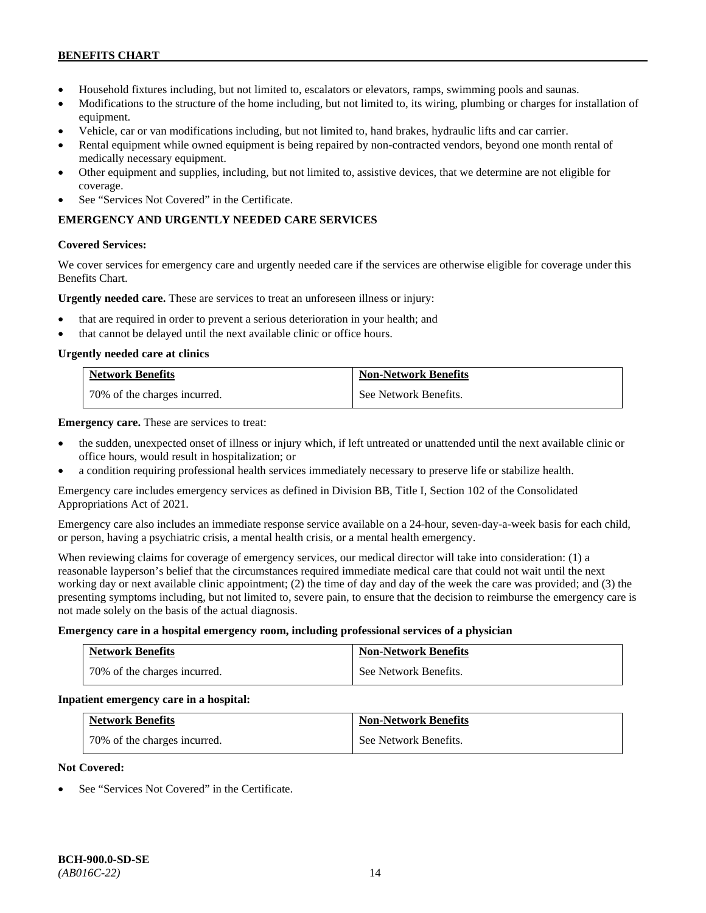- Household fixtures including, but not limited to, escalators or elevators, ramps, swimming pools and saunas.
- Modifications to the structure of the home including, but not limited to, its wiring, plumbing or charges for installation of equipment.
- Vehicle, car or van modifications including, but not limited to, hand brakes, hydraulic lifts and car carrier.
- Rental equipment while owned equipment is being repaired by non-contracted vendors, beyond one month rental of medically necessary equipment.
- Other equipment and supplies, including, but not limited to, assistive devices, that we determine are not eligible for coverage.
- See "Services Not Covered" in the Certificate.

# **EMERGENCY AND URGENTLY NEEDED CARE SERVICES**

### **Covered Services:**

We cover services for emergency care and urgently needed care if the services are otherwise eligible for coverage under this Benefits Chart.

**Urgently needed care.** These are services to treat an unforeseen illness or injury:

- that are required in order to prevent a serious deterioration in your health; and
- that cannot be delayed until the next available clinic or office hours.

### **Urgently needed care at clinics**

| <b>Network Benefits</b>      | <b>Non-Network Benefits</b> |
|------------------------------|-----------------------------|
| 70% of the charges incurred. | See Network Benefits.       |

**Emergency care.** These are services to treat:

- the sudden, unexpected onset of illness or injury which, if left untreated or unattended until the next available clinic or office hours, would result in hospitalization; or
- a condition requiring professional health services immediately necessary to preserve life or stabilize health.

Emergency care includes emergency services as defined in Division BB, Title I, Section 102 of the Consolidated Appropriations Act of 2021.

Emergency care also includes an immediate response service available on a 24-hour, seven-day-a-week basis for each child, or person, having a psychiatric crisis, a mental health crisis, or a mental health emergency.

When reviewing claims for coverage of emergency services, our medical director will take into consideration: (1) a reasonable layperson's belief that the circumstances required immediate medical care that could not wait until the next working day or next available clinic appointment; (2) the time of day and day of the week the care was provided; and (3) the presenting symptoms including, but not limited to, severe pain, to ensure that the decision to reimburse the emergency care is not made solely on the basis of the actual diagnosis.

#### **Emergency care in a hospital emergency room, including professional services of a physician**

| <b>Network Benefits</b>      | <b>Non-Network Benefits</b> |
|------------------------------|-----------------------------|
| 70% of the charges incurred. | See Network Benefits.       |

#### **Inpatient emergency care in a hospital:**

| <b>Network Benefits</b>      | <b>Non-Network Benefits</b> |
|------------------------------|-----------------------------|
| 70% of the charges incurred. | See Network Benefits.       |

# **Not Covered:**

See "Services Not Covered" in the Certificate.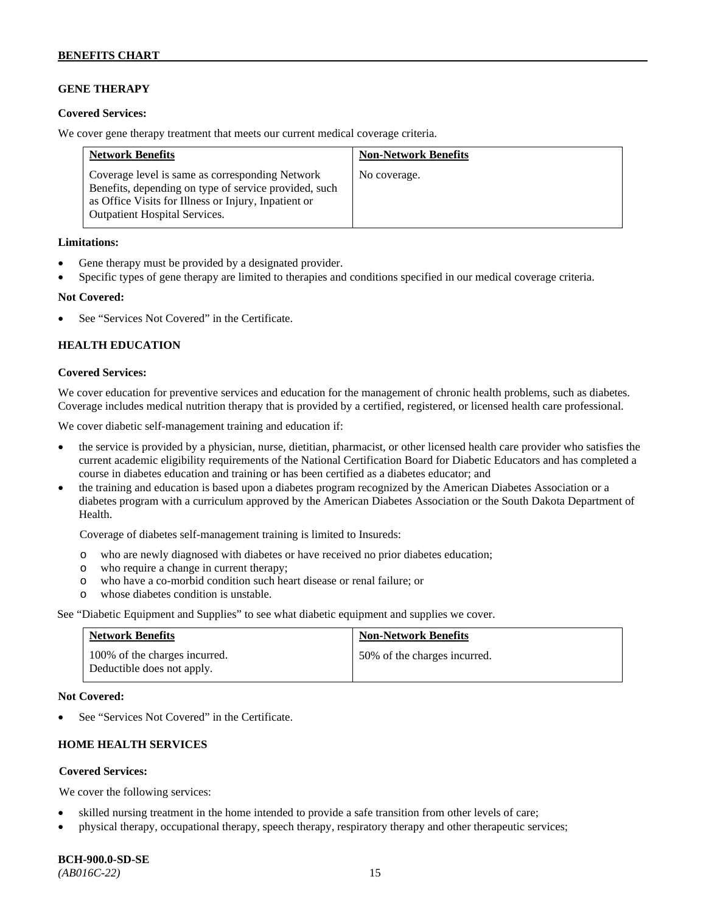## **GENE THERAPY**

### **Covered Services:**

We cover gene therapy treatment that meets our current medical coverage criteria.

| <b>Network Benefits</b>                                                                                                                                                                                  | <b>Non-Network Benefits</b> |
|----------------------------------------------------------------------------------------------------------------------------------------------------------------------------------------------------------|-----------------------------|
| Coverage level is same as corresponding Network<br>Benefits, depending on type of service provided, such<br>as Office Visits for Illness or Injury, Inpatient or<br><b>Outpatient Hospital Services.</b> | No coverage.                |

### **Limitations:**

- Gene therapy must be provided by a designated provider.
- Specific types of gene therapy are limited to therapies and conditions specified in our medical coverage criteria.

### **Not Covered:**

See "Services Not Covered" in the Certificate.

### **HEALTH EDUCATION**

### **Covered Services:**

We cover education for preventive services and education for the management of chronic health problems, such as diabetes. Coverage includes medical nutrition therapy that is provided by a certified, registered, or licensed health care professional.

We cover diabetic self-management training and education if:

- the service is provided by a physician, nurse, dietitian, pharmacist, or other licensed health care provider who satisfies the current academic eligibility requirements of the National Certification Board for Diabetic Educators and has completed a course in diabetes education and training or has been certified as a diabetes educator; and
- the training and education is based upon a diabetes program recognized by the American Diabetes Association or a diabetes program with a curriculum approved by the American Diabetes Association or the South Dakota Department of Health.

Coverage of diabetes self-management training is limited to Insureds:

- o who are newly diagnosed with diabetes or have received no prior diabetes education;
- o who require a change in current therapy;<br>o who have a co-morbid condition such heal
- who have a co-morbid condition such heart disease or renal failure; or
- o whose diabetes condition is unstable.

See "Diabetic Equipment and Supplies" to see what diabetic equipment and supplies we cover.

| <b>Network Benefits</b>                                     | <b>Non-Network Benefits</b>  |
|-------------------------------------------------------------|------------------------------|
| 100% of the charges incurred.<br>Deductible does not apply. | 50% of the charges incurred. |

#### **Not Covered:**

See "Services Not Covered" in the Certificate.

# **HOME HEALTH SERVICES**

### **Covered Services:**

We cover the following services:

- skilled nursing treatment in the home intended to provide a safe transition from other levels of care;
- physical therapy, occupational therapy, speech therapy, respiratory therapy and other therapeutic services;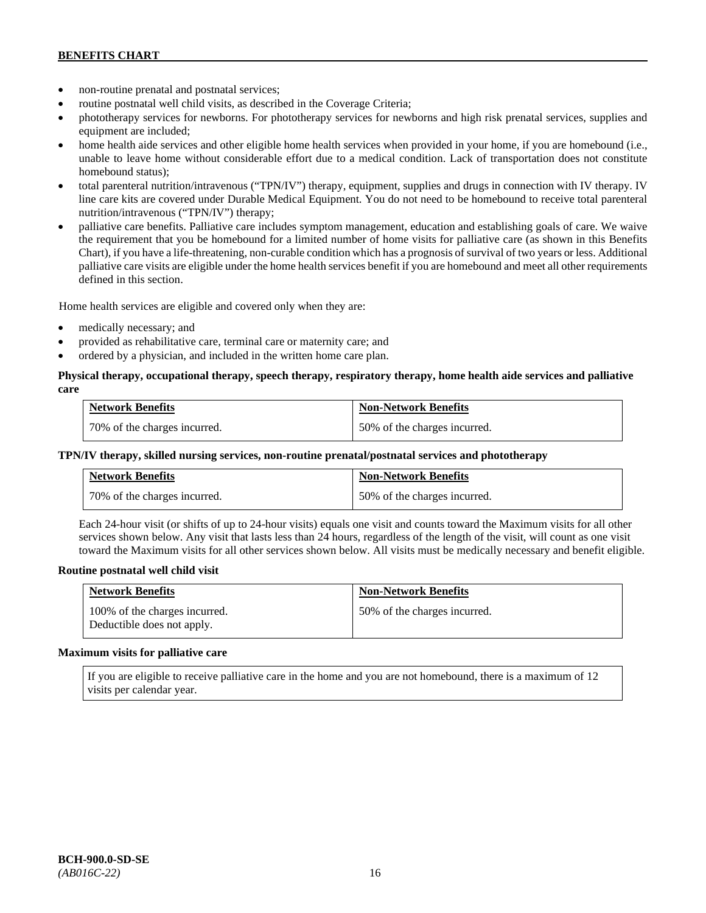- non-routine prenatal and postnatal services;
- routine postnatal well child visits, as described in the Coverage Criteria;
- phototherapy services for newborns. For phototherapy services for newborns and high risk prenatal services, supplies and equipment are included;
- home health aide services and other eligible home health services when provided in your home, if you are homebound (i.e., unable to leave home without considerable effort due to a medical condition. Lack of transportation does not constitute homebound status);
- total parenteral nutrition/intravenous ("TPN/IV") therapy, equipment, supplies and drugs in connection with IV therapy. IV line care kits are covered under Durable Medical Equipment. You do not need to be homebound to receive total parenteral nutrition/intravenous ("TPN/IV") therapy;
- palliative care benefits. Palliative care includes symptom management, education and establishing goals of care. We waive the requirement that you be homebound for a limited number of home visits for palliative care (as shown in this Benefits Chart), if you have a life-threatening, non-curable condition which has a prognosis of survival of two years or less. Additional palliative care visits are eligible under the home health services benefit if you are homebound and meet all other requirements defined in this section.

Home health services are eligible and covered only when they are:

- medically necessary; and
- provided as rehabilitative care, terminal care or maternity care; and
- ordered by a physician, and included in the written home care plan.

### **Physical therapy, occupational therapy, speech therapy, respiratory therapy, home health aide services and palliative care**

| <b>Network Benefits</b>      | <b>Non-Network Benefits</b>  |
|------------------------------|------------------------------|
| 70% of the charges incurred. | 50% of the charges incurred. |

### **TPN/IV therapy, skilled nursing services, non-routine prenatal/postnatal services and phototherapy**

| <b>Network Benefits</b>        | <b>Non-Network Benefits</b>  |
|--------------------------------|------------------------------|
| 1 70% of the charges incurred. | 50% of the charges incurred. |

Each 24-hour visit (or shifts of up to 24-hour visits) equals one visit and counts toward the Maximum visits for all other services shown below. Any visit that lasts less than 24 hours, regardless of the length of the visit, will count as one visit toward the Maximum visits for all other services shown below. All visits must be medically necessary and benefit eligible.

#### **Routine postnatal well child visit**

| <b>Network Benefits</b>                                     | <b>Non-Network Benefits</b>  |
|-------------------------------------------------------------|------------------------------|
| 100% of the charges incurred.<br>Deductible does not apply. | 50% of the charges incurred. |

#### **Maximum visits for palliative care**

If you are eligible to receive palliative care in the home and you are not homebound, there is a maximum of 12 visits per calendar year.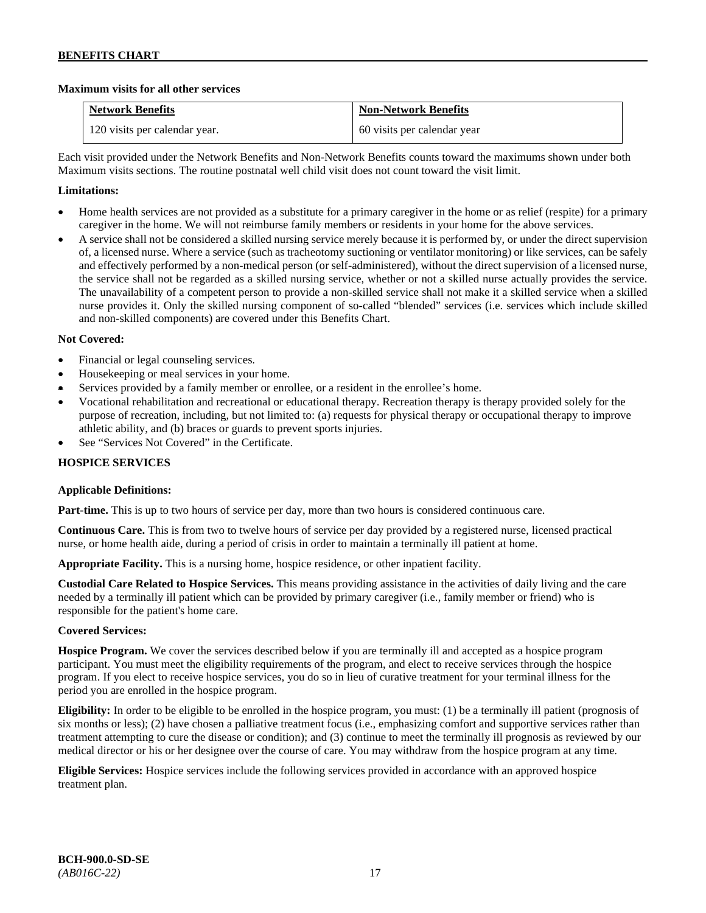### **Maximum visits for all other services**

| <b>Network Benefits</b>       | <b>Non-Network Benefits</b> |
|-------------------------------|-----------------------------|
| 120 visits per calendar year. | 60 visits per calendar year |

Each visit provided under the Network Benefits and Non-Network Benefits counts toward the maximums shown under both Maximum visits sections. The routine postnatal well child visit does not count toward the visit limit.

## **Limitations:**

- Home health services are not provided as a substitute for a primary caregiver in the home or as relief (respite) for a primary caregiver in the home. We will not reimburse family members or residents in your home for the above services.
- A service shall not be considered a skilled nursing service merely because it is performed by, or under the direct supervision of, a licensed nurse. Where a service (such as tracheotomy suctioning or ventilator monitoring) or like services, can be safely and effectively performed by a non-medical person (or self-administered), without the direct supervision of a licensed nurse, the service shall not be regarded as a skilled nursing service, whether or not a skilled nurse actually provides the service. The unavailability of a competent person to provide a non-skilled service shall not make it a skilled service when a skilled nurse provides it. Only the skilled nursing component of so-called "blended" services (i.e. services which include skilled and non-skilled components) are covered under this Benefits Chart.

### **Not Covered:**

- Financial or legal counseling services.
- Housekeeping or meal services in your home.
- Services provided by a family member or enrollee, or a resident in the enrollee's home.
- Vocational rehabilitation and recreational or educational therapy. Recreation therapy is therapy provided solely for the purpose of recreation, including, but not limited to: (a) requests for physical therapy or occupational therapy to improve athletic ability, and (b) braces or guards to prevent sports injuries.
- See "Services Not Covered" in the Certificate.

## **HOSPICE SERVICES**

### **Applicable Definitions:**

**Part-time.** This is up to two hours of service per day, more than two hours is considered continuous care.

**Continuous Care.** This is from two to twelve hours of service per day provided by a registered nurse, licensed practical nurse, or home health aide, during a period of crisis in order to maintain a terminally ill patient at home.

**Appropriate Facility.** This is a nursing home, hospice residence, or other inpatient facility.

**Custodial Care Related to Hospice Services.** This means providing assistance in the activities of daily living and the care needed by a terminally ill patient which can be provided by primary caregiver (i.e., family member or friend) who is responsible for the patient's home care.

### **Covered Services:**

**Hospice Program.** We cover the services described below if you are terminally ill and accepted as a hospice program participant. You must meet the eligibility requirements of the program, and elect to receive services through the hospice program. If you elect to receive hospice services, you do so in lieu of curative treatment for your terminal illness for the period you are enrolled in the hospice program.

**Eligibility:** In order to be eligible to be enrolled in the hospice program, you must: (1) be a terminally ill patient (prognosis of six months or less); (2) have chosen a palliative treatment focus (i.e., emphasizing comfort and supportive services rather than treatment attempting to cure the disease or condition); and (3) continue to meet the terminally ill prognosis as reviewed by our medical director or his or her designee over the course of care. You may withdraw from the hospice program at any time.

**Eligible Services:** Hospice services include the following services provided in accordance with an approved hospice treatment plan.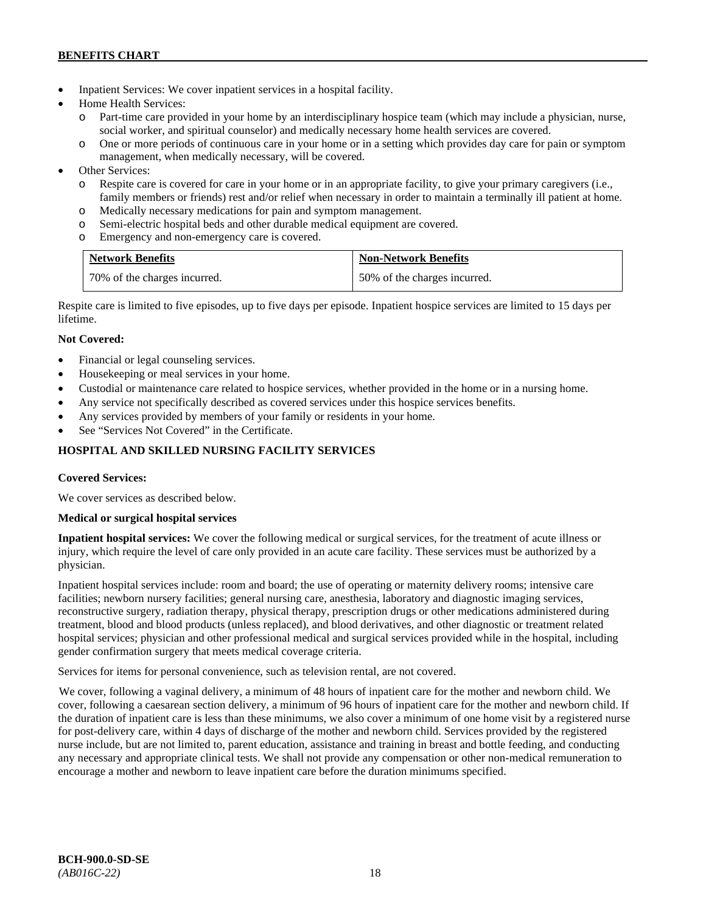- Inpatient Services: We cover inpatient services in a hospital facility.
- Home Health Services:
	- o Part-time care provided in your home by an interdisciplinary hospice team (which may include a physician, nurse, social worker, and spiritual counselor) and medically necessary home health services are covered.
	- o One or more periods of continuous care in your home or in a setting which provides day care for pain or symptom management, when medically necessary, will be covered.
- Other Services:
	- o Respite care is covered for care in your home or in an appropriate facility, to give your primary caregivers (i.e., family members or friends) rest and/or relief when necessary in order to maintain a terminally ill patient at home*.*
	- o Medically necessary medications for pain and symptom management.
	- o Semi-electric hospital beds and other durable medical equipment are covered.
	- o Emergency and non-emergency care is covered.

| <b>Network Benefits</b>      | <b>Non-Network Benefits</b>  |
|------------------------------|------------------------------|
| 70% of the charges incurred. | 50% of the charges incurred. |

Respite care is limited to five episodes, up to five days per episode. Inpatient hospice services are limited to 15 days per lifetime.

# **Not Covered:**

- Financial or legal counseling services.
- Housekeeping or meal services in your home.
- Custodial or maintenance care related to hospice services, whether provided in the home or in a nursing home.
- Any service not specifically described as covered services under this hospice services benefits.
- Any services provided by members of your family or residents in your home.
- See "Services Not Covered" in the Certificate.

# **HOSPITAL AND SKILLED NURSING FACILITY SERVICES**

### **Covered Services:**

We cover services as described below.

### **Medical or surgical hospital services**

**Inpatient hospital services:** We cover the following medical or surgical services, for the treatment of acute illness or injury, which require the level of care only provided in an acute care facility. These services must be authorized by a physician.

Inpatient hospital services include: room and board; the use of operating or maternity delivery rooms; intensive care facilities; newborn nursery facilities; general nursing care, anesthesia, laboratory and diagnostic imaging services, reconstructive surgery, radiation therapy, physical therapy, prescription drugs or other medications administered during treatment, blood and blood products (unless replaced), and blood derivatives, and other diagnostic or treatment related hospital services; physician and other professional medical and surgical services provided while in the hospital, including gender confirmation surgery that meets medical coverage criteria.

Services for items for personal convenience, such as television rental, are not covered.

We cover, following a vaginal delivery, a minimum of 48 hours of inpatient care for the mother and newborn child. We cover, following a caesarean section delivery, a minimum of 96 hours of inpatient care for the mother and newborn child. If the duration of inpatient care is less than these minimums, we also cover a minimum of one home visit by a registered nurse for post-delivery care, within 4 days of discharge of the mother and newborn child. Services provided by the registered nurse include, but are not limited to, parent education, assistance and training in breast and bottle feeding, and conducting any necessary and appropriate clinical tests. We shall not provide any compensation or other non-medical remuneration to encourage a mother and newborn to leave inpatient care before the duration minimums specified.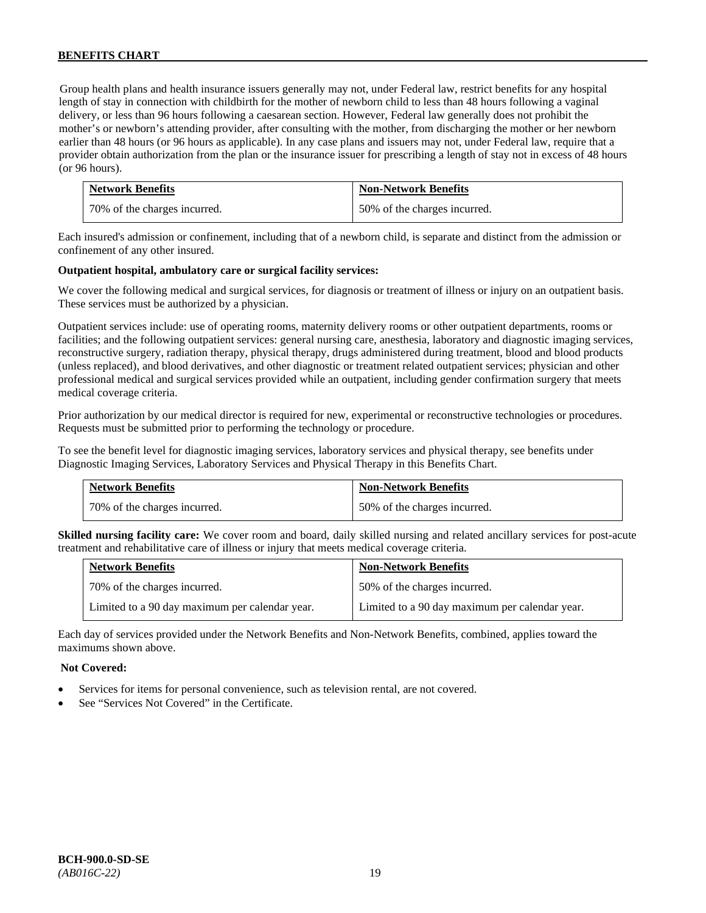Group health plans and health insurance issuers generally may not, under Federal law, restrict benefits for any hospital length of stay in connection with childbirth for the mother of newborn child to less than 48 hours following a vaginal delivery, or less than 96 hours following a caesarean section. However, Federal law generally does not prohibit the mother's or newborn's attending provider, after consulting with the mother, from discharging the mother or her newborn earlier than 48 hours (or 96 hours as applicable). In any case plans and issuers may not, under Federal law, require that a provider obtain authorization from the plan or the insurance issuer for prescribing a length of stay not in excess of 48 hours (or 96 hours).

| <b>Network Benefits</b>      | <b>Non-Network Benefits</b>  |
|------------------------------|------------------------------|
| 70% of the charges incurred. | 50% of the charges incurred. |

Each insured's admission or confinement, including that of a newborn child, is separate and distinct from the admission or confinement of any other insured.

### **Outpatient hospital, ambulatory care or surgical facility services:**

We cover the following medical and surgical services, for diagnosis or treatment of illness or injury on an outpatient basis. These services must be authorized by a physician.

Outpatient services include: use of operating rooms, maternity delivery rooms or other outpatient departments, rooms or facilities; and the following outpatient services: general nursing care, anesthesia, laboratory and diagnostic imaging services, reconstructive surgery, radiation therapy, physical therapy, drugs administered during treatment, blood and blood products (unless replaced), and blood derivatives, and other diagnostic or treatment related outpatient services; physician and other professional medical and surgical services provided while an outpatient, including gender confirmation surgery that meets medical coverage criteria.

Prior authorization by our medical director is required for new, experimental or reconstructive technologies or procedures. Requests must be submitted prior to performing the technology or procedure.

To see the benefit level for diagnostic imaging services, laboratory services and physical therapy, see benefits under Diagnostic Imaging Services, Laboratory Services and Physical Therapy in this Benefits Chart.

| <b>Network Benefits</b>      | <b>Non-Network Benefits</b>  |
|------------------------------|------------------------------|
| 70% of the charges incurred. | 50% of the charges incurred. |

**Skilled nursing facility care:** We cover room and board, daily skilled nursing and related ancillary services for post-acute treatment and rehabilitative care of illness or injury that meets medical coverage criteria.

| <b>Network Benefits</b>                        | <b>Non-Network Benefits</b>                    |
|------------------------------------------------|------------------------------------------------|
| 70% of the charges incurred.                   | 50% of the charges incurred.                   |
| Limited to a 90 day maximum per calendar year. | Limited to a 90 day maximum per calendar year. |

Each day of services provided under the Network Benefits and Non-Network Benefits, combined, applies toward the maximums shown above.

### **Not Covered:**

- Services for items for personal convenience, such as television rental, are not covered.
- See "Services Not Covered" in the Certificate.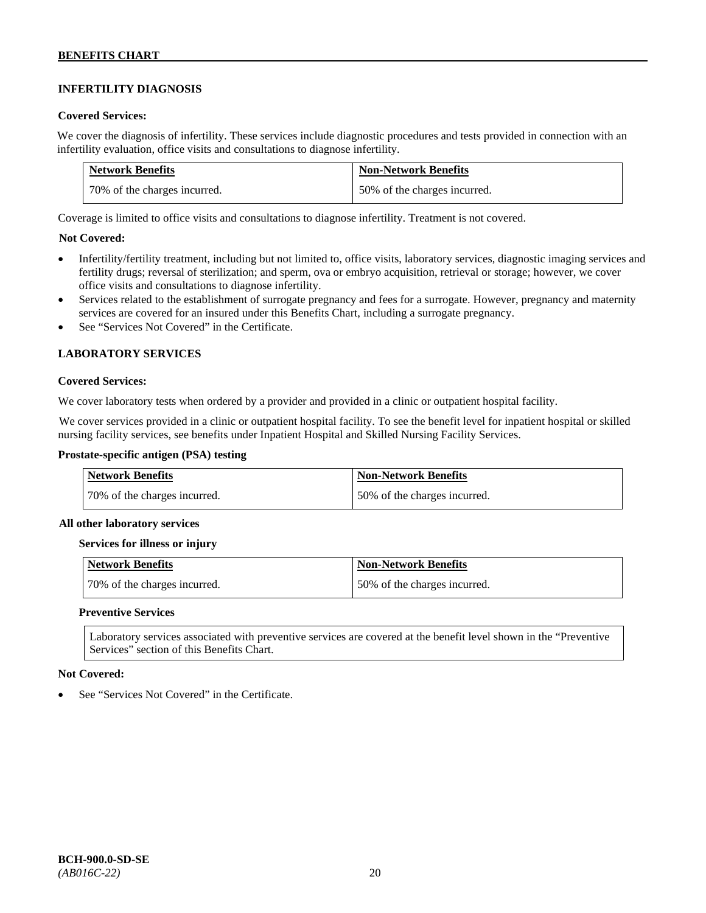# **INFERTILITY DIAGNOSIS**

### **Covered Services:**

We cover the diagnosis of infertility. These services include diagnostic procedures and tests provided in connection with an infertility evaluation, office visits and consultations to diagnose infertility.

| <b>Network Benefits</b>      | <b>Non-Network Benefits</b>  |
|------------------------------|------------------------------|
| 70% of the charges incurred. | 50% of the charges incurred. |

Coverage is limited to office visits and consultations to diagnose infertility. Treatment is not covered.

### **Not Covered:**

- Infertility/fertility treatment, including but not limited to, office visits, laboratory services, diagnostic imaging services and fertility drugs; reversal of sterilization; and sperm, ova or embryo acquisition, retrieval or storage; however, we cover office visits and consultations to diagnose infertility.
- Services related to the establishment of surrogate pregnancy and fees for a surrogate. However, pregnancy and maternity services are covered for an insured under this Benefits Chart, including a surrogate pregnancy.
- See "Services Not Covered" in the Certificate.

### **LABORATORY SERVICES**

#### **Covered Services:**

We cover laboratory tests when ordered by a provider and provided in a clinic or outpatient hospital facility.

We cover services provided in a clinic or outpatient hospital facility. To see the benefit level for inpatient hospital or skilled nursing facility services, see benefits under Inpatient Hospital and Skilled Nursing Facility Services.

### **Prostate-specific antigen (PSA) testing**

| <b>Network Benefits</b>      | <b>Non-Network Benefits</b>  |
|------------------------------|------------------------------|
| 70% of the charges incurred. | 50% of the charges incurred. |

#### **All other laboratory services**

#### **Services for illness or injury**

| Network Benefits             | Non-Network Benefits         |
|------------------------------|------------------------------|
| 70% of the charges incurred. | 50% of the charges incurred. |

### **Preventive Services**

Laboratory services associated with preventive services are covered at the benefit level shown in the "Preventive Services" section of this Benefits Chart.

#### **Not Covered:**

See "Services Not Covered" in the Certificate.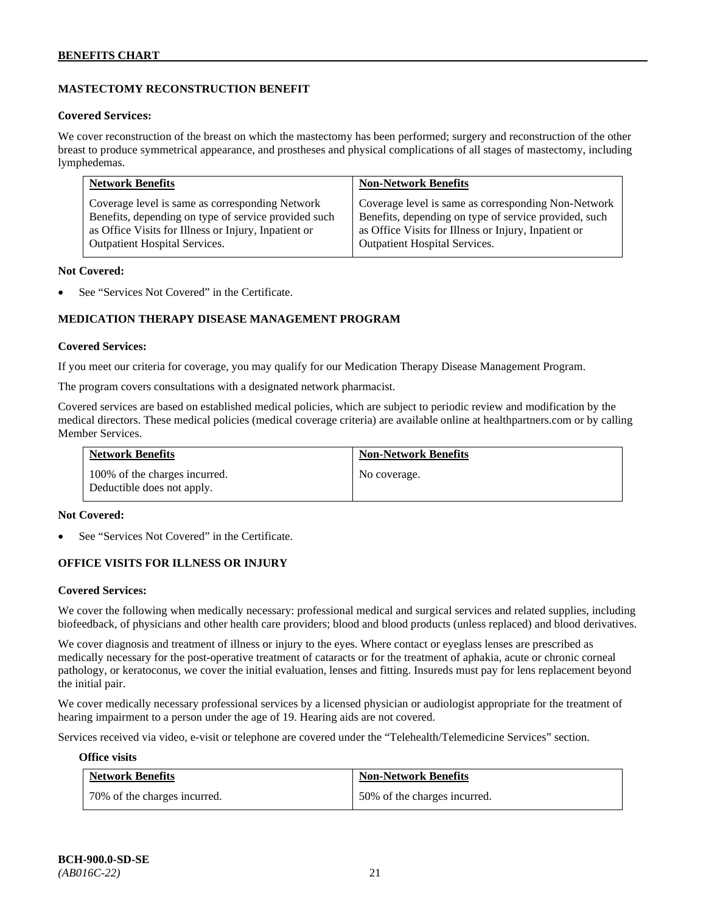# **MASTECTOMY RECONSTRUCTION BENEFIT**

### **Covered Services:**

We cover reconstruction of the breast on which the mastectomy has been performed; surgery and reconstruction of the other breast to produce symmetrical appearance, and prostheses and physical complications of all stages of mastectomy, including lymphedemas.

| <b>Network Benefits</b>                              | <b>Non-Network Benefits</b>                           |
|------------------------------------------------------|-------------------------------------------------------|
| Coverage level is same as corresponding Network      | Coverage level is same as corresponding Non-Network   |
| Benefits, depending on type of service provided such | Benefits, depending on type of service provided, such |
| as Office Visits for Illness or Injury, Inpatient or | as Office Visits for Illness or Injury, Inpatient or  |
| <b>Outpatient Hospital Services.</b>                 | Outpatient Hospital Services.                         |

#### **Not Covered:**

See "Services Not Covered" in the Certificate.

# **MEDICATION THERAPY DISEASE MANAGEMENT PROGRAM**

### **Covered Services:**

If you meet our criteria for coverage, you may qualify for our Medication Therapy Disease Management Program.

The program covers consultations with a designated network pharmacist.

Covered services are based on established medical policies, which are subject to periodic review and modification by the medical directors. These medical policies (medical coverage criteria) are available online at [healthpartners.com](http://www.healthpartners.com/) or by calling Member Services.

| <b>Network Benefits</b>                                     | <b>Non-Network Benefits</b> |
|-------------------------------------------------------------|-----------------------------|
| 100% of the charges incurred.<br>Deductible does not apply. | No coverage.                |

#### **Not Covered:**

See "Services Not Covered" in the Certificate.

### **OFFICE VISITS FOR ILLNESS OR INJURY**

#### **Covered Services:**

We cover the following when medically necessary: professional medical and surgical services and related supplies, including biofeedback, of physicians and other health care providers; blood and blood products (unless replaced) and blood derivatives.

We cover diagnosis and treatment of illness or injury to the eyes. Where contact or eyeglass lenses are prescribed as medically necessary for the post-operative treatment of cataracts or for the treatment of aphakia, acute or chronic corneal pathology, or keratoconus, we cover the initial evaluation, lenses and fitting. Insureds must pay for lens replacement beyond the initial pair.

We cover medically necessary professional services by a licensed physician or audiologist appropriate for the treatment of hearing impairment to a person under the age of 19. Hearing aids are not covered.

Services received via video, e-visit or telephone are covered under the "Telehealth/Telemedicine Services" section.

#### **Office visits**

| <b>Network Benefits</b>        | <b>Non-Network Benefits</b>  |
|--------------------------------|------------------------------|
| 1 70% of the charges incurred. | 50% of the charges incurred. |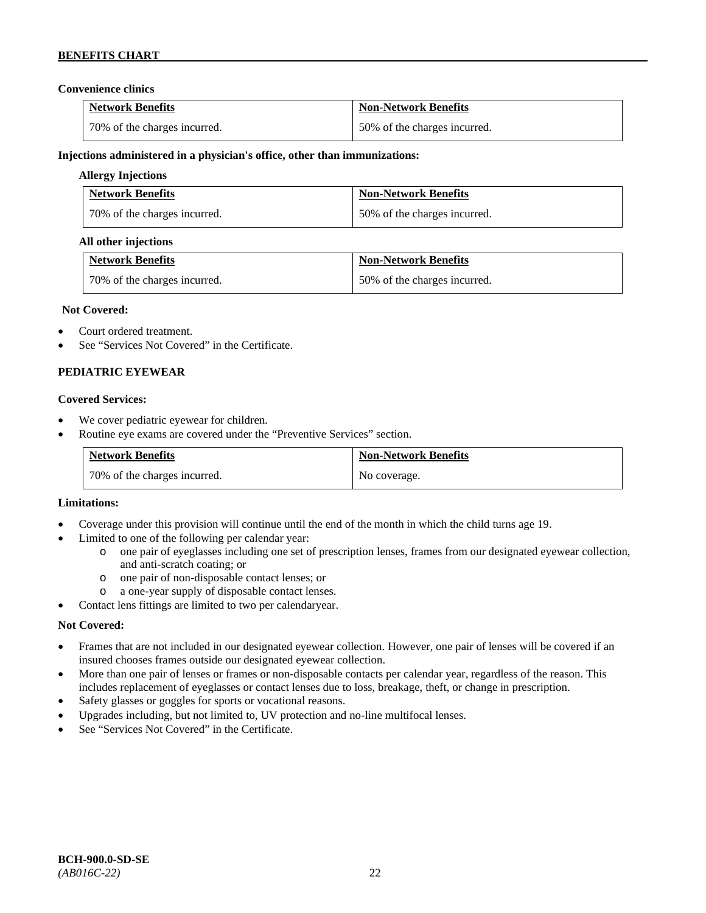### **Convenience clinics**

| <b>Network Benefits</b>      | <b>Non-Network Benefits</b>  |
|------------------------------|------------------------------|
| 70% of the charges incurred. | 50% of the charges incurred. |

### **Injections administered in a physician's office, other than immunizations:**

### **Allergy Injections**

| <b>Network Benefits</b>      | <b>Non-Network Benefits</b>  |
|------------------------------|------------------------------|
| 70% of the charges incurred. | 50% of the charges incurred. |

### **All other injections**

| <b>Network Benefits</b>      | <b>Non-Network Benefits</b>  |
|------------------------------|------------------------------|
| 70% of the charges incurred. | 50% of the charges incurred. |

### **Not Covered:**

- Court ordered treatment.
- See "Services Not Covered" in the Certificate.

### **PEDIATRIC EYEWEAR**

#### **Covered Services:**

- We cover pediatric eyewear for children.
- Routine eye exams are covered under the "Preventive Services" section.

| <b>Network Benefits</b>        | <b>Non-Network Benefits</b> |
|--------------------------------|-----------------------------|
| 1 70% of the charges incurred. | No coverage.                |

#### **Limitations:**

- Coverage under this provision will continue until the end of the month in which the child turns age 19.
- Limited to one of the following per calendar year:
	- o one pair of eyeglasses including one set of prescription lenses, frames from our designated eyewear collection, and anti-scratch coating; or
	- o one pair of non-disposable contact lenses; or
	- a one-year supply of disposable contact lenses.
- Contact lens fittings are limited to two per calendaryear.

### **Not Covered:**

- Frames that are not included in our designated eyewear collection. However, one pair of lenses will be covered if an insured chooses frames outside our designated eyewear collection.
- More than one pair of lenses or frames or non-disposable contacts per calendar year, regardless of the reason. This includes replacement of eyeglasses or contact lenses due to loss, breakage, theft, or change in prescription.
- Safety glasses or goggles for sports or vocational reasons.
- Upgrades including, but not limited to, UV protection and no-line multifocal lenses.
- See "Services Not Covered" in the Certificate.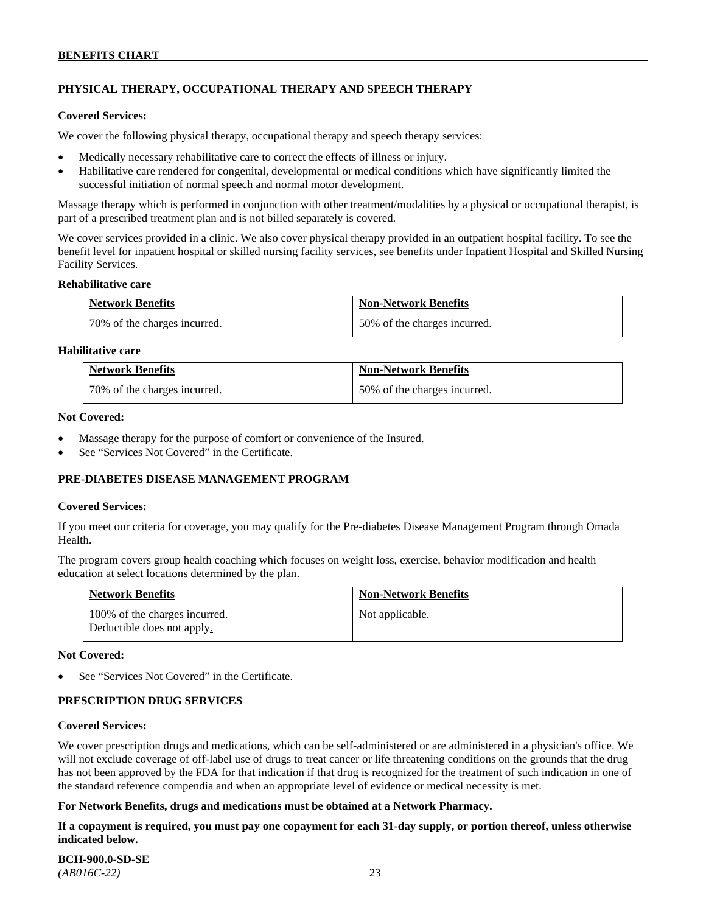# **PHYSICAL THERAPY, OCCUPATIONAL THERAPY AND SPEECH THERAPY**

#### **Covered Services:**

We cover the following physical therapy, occupational therapy and speech therapy services:

- Medically necessary rehabilitative care to correct the effects of illness or injury.
- Habilitative care rendered for congenital, developmental or medical conditions which have significantly limited the successful initiation of normal speech and normal motor development.

Massage therapy which is performed in conjunction with other treatment/modalities by a physical or occupational therapist, is part of a prescribed treatment plan and is not billed separately is covered.

We cover services provided in a clinic. We also cover physical therapy provided in an outpatient hospital facility. To see the benefit level for inpatient hospital or skilled nursing facility services, see benefits under Inpatient Hospital and Skilled Nursing Facility Services.

#### **Rehabilitative care**

| <b>Network Benefits</b>      | <b>Non-Network Benefits</b>  |
|------------------------------|------------------------------|
| 70% of the charges incurred. | 50% of the charges incurred. |

### **Habilitative care**

| <b>Network Benefits</b>      | <b>Non-Network Benefits</b>  |
|------------------------------|------------------------------|
| 70% of the charges incurred. | 50% of the charges incurred. |

#### **Not Covered:**

- Massage therapy for the purpose of comfort or convenience of the Insured.
- See "Services Not Covered" in the Certificate.

### **PRE-DIABETES DISEASE MANAGEMENT PROGRAM**

#### **Covered Services:**

If you meet our criteria for coverage, you may qualify for the Pre-diabetes Disease Management Program through Omada Health.

The program covers group health coaching which focuses on weight loss, exercise, behavior modification and health education at select locations determined by the plan.

| <b>Network Benefits</b>                                     | <b>Non-Network Benefits</b> |
|-------------------------------------------------------------|-----------------------------|
| 100% of the charges incurred.<br>Deductible does not apply. | Not applicable.             |

#### **Not Covered:**

See "Services Not Covered" in the Certificate.

### **PRESCRIPTION DRUG SERVICES**

#### **Covered Services:**

We cover prescription drugs and medications, which can be self-administered or are administered in a physician's office. We will not exclude coverage of off-label use of drugs to treat cancer or life threatening conditions on the grounds that the drug has not been approved by the FDA for that indication if that drug is recognized for the treatment of such indication in one of the standard reference compendia and when an appropriate level of evidence or medical necessity is met.

### **For Network Benefits, drugs and medications must be obtained at a Network Pharmacy.**

**If a copayment is required, you must pay one copayment for each 31-day supply, or portion thereof, unless otherwise indicated below.**

**BCH-900.0-SD-SE**  *(AB016C-22)* 23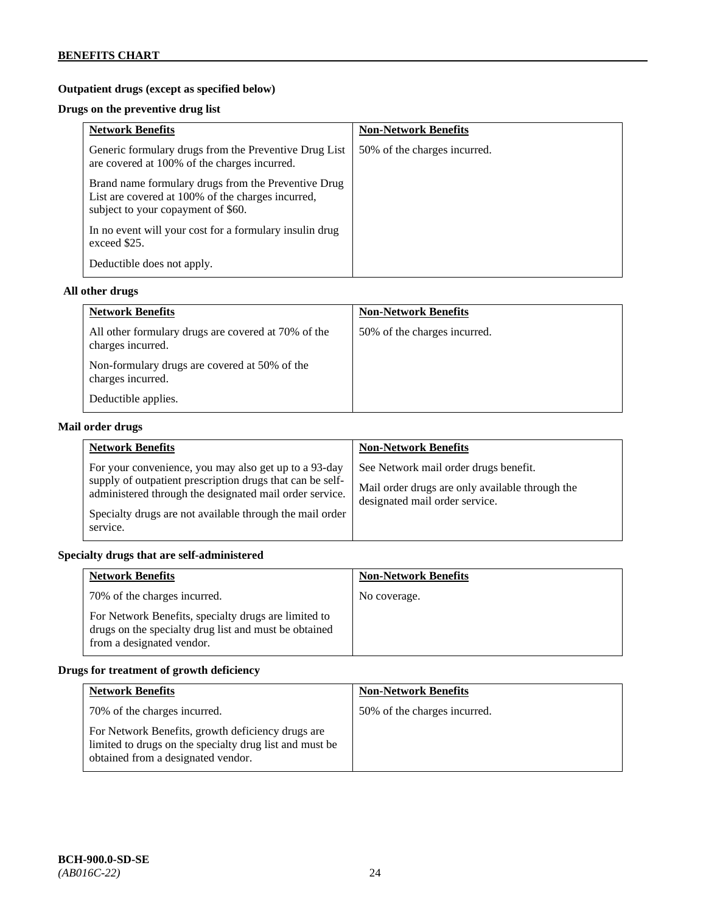# **Outpatient drugs (except as specified below)**

# **Drugs on the preventive drug list**

| <b>Network Benefits</b>                                                                                                                        | <b>Non-Network Benefits</b>  |
|------------------------------------------------------------------------------------------------------------------------------------------------|------------------------------|
| Generic formulary drugs from the Preventive Drug List<br>are covered at 100% of the charges incurred.                                          | 50% of the charges incurred. |
| Brand name formulary drugs from the Preventive Drug<br>List are covered at 100% of the charges incurred,<br>subject to your copayment of \$60. |                              |
| In no event will your cost for a formulary insulin drug<br>exceed \$25.                                                                        |                              |
| Deductible does not apply.                                                                                                                     |                              |

### **All other drugs**

| <b>Network Benefits</b>                                                  | <b>Non-Network Benefits</b>  |
|--------------------------------------------------------------------------|------------------------------|
| All other formulary drugs are covered at 70% of the<br>charges incurred. | 50% of the charges incurred. |
| Non-formulary drugs are covered at 50% of the<br>charges incurred.       |                              |
| Deductible applies.                                                      |                              |

# **Mail order drugs**

| <b>Network Benefits</b>                                                                                                                                                                                                                               | <b>Non-Network Benefits</b>                                                                                                |
|-------------------------------------------------------------------------------------------------------------------------------------------------------------------------------------------------------------------------------------------------------|----------------------------------------------------------------------------------------------------------------------------|
| For your convenience, you may also get up to a 93-day<br>supply of outpatient prescription drugs that can be self-<br>administered through the designated mail order service.<br>Specialty drugs are not available through the mail order<br>service. | See Network mail order drugs benefit.<br>Mail order drugs are only available through the<br>designated mail order service. |

# **Specialty drugs that are self-administered**

| <b>Network Benefits</b>                                                                                                                    | <b>Non-Network Benefits</b> |
|--------------------------------------------------------------------------------------------------------------------------------------------|-----------------------------|
| 70% of the charges incurred.                                                                                                               | No coverage.                |
| For Network Benefits, specialty drugs are limited to<br>drugs on the specialty drug list and must be obtained<br>from a designated vendor. |                             |

# **Drugs for treatment of growth deficiency**

| <b>Network Benefits</b>                                                                                                                            | <b>Non-Network Benefits</b>  |
|----------------------------------------------------------------------------------------------------------------------------------------------------|------------------------------|
| 70% of the charges incurred.                                                                                                                       | 50% of the charges incurred. |
| For Network Benefits, growth deficiency drugs are<br>limited to drugs on the specialty drug list and must be<br>obtained from a designated vendor. |                              |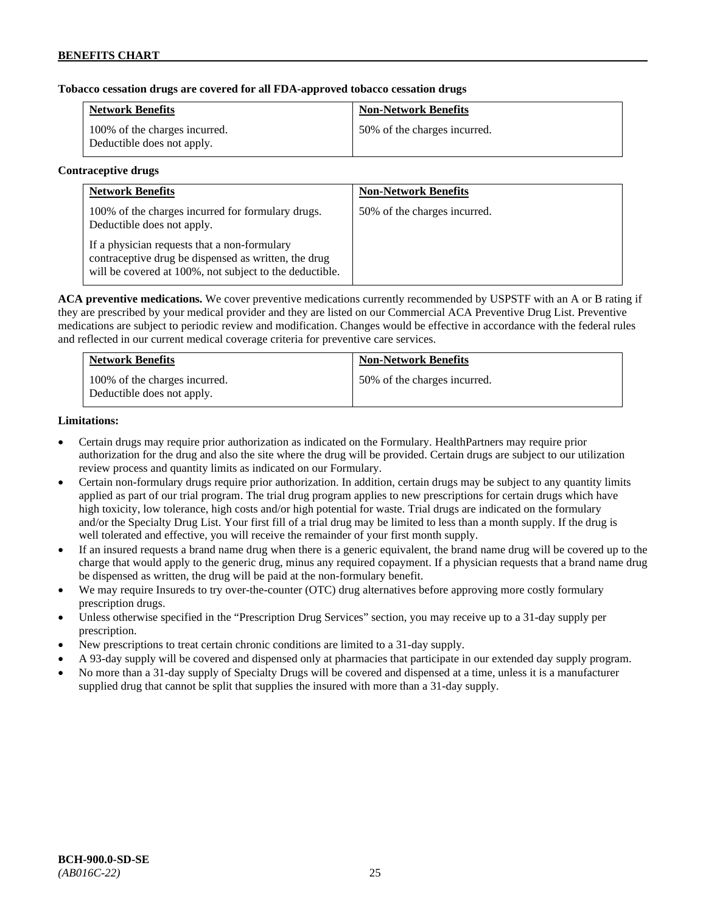### **Tobacco cessation drugs are covered for all FDA-approved tobacco cessation drugs**

| <b>Network Benefits</b>                                     | <b>Non-Network Benefits</b>  |
|-------------------------------------------------------------|------------------------------|
| 100% of the charges incurred.<br>Deductible does not apply. | 50% of the charges incurred. |

#### **Contraceptive drugs**

| <b>Network Benefits</b>                                                                                                                                         | <b>Non-Network Benefits</b>  |
|-----------------------------------------------------------------------------------------------------------------------------------------------------------------|------------------------------|
| 100% of the charges incurred for formulary drugs.<br>Deductible does not apply.                                                                                 | 50% of the charges incurred. |
| If a physician requests that a non-formulary<br>contraceptive drug be dispensed as written, the drug<br>will be covered at 100%, not subject to the deductible. |                              |

**ACA preventive medications.** We cover preventive medications currently recommended by USPSTF with an A or B rating if they are prescribed by your medical provider and they are listed on our Commercial ACA Preventive Drug List. Preventive medications are subject to periodic review and modification. Changes would be effective in accordance with the federal rules and reflected in our current medical coverage criteria for preventive care services.

| <b>Network Benefits</b>                                     | <b>Non-Network Benefits</b>  |
|-------------------------------------------------------------|------------------------------|
| 100% of the charges incurred.<br>Deductible does not apply. | 50% of the charges incurred. |

### **Limitations:**

- Certain drugs may require prior authorization as indicated on the Formulary. HealthPartners may require prior authorization for the drug and also the site where the drug will be provided. Certain drugs are subject to our utilization review process and quantity limits as indicated on our Formulary.
- Certain non-formulary drugs require prior authorization. In addition, certain drugs may be subject to any quantity limits applied as part of our trial program. The trial drug program applies to new prescriptions for certain drugs which have high toxicity, low tolerance, high costs and/or high potential for waste. Trial drugs are indicated on the formulary and/or the Specialty Drug List. Your first fill of a trial drug may be limited to less than a month supply. If the drug is well tolerated and effective, you will receive the remainder of your first month supply.
- If an insured requests a brand name drug when there is a generic equivalent, the brand name drug will be covered up to the charge that would apply to the generic drug, minus any required copayment. If a physician requests that a brand name drug be dispensed as written, the drug will be paid at the non-formulary benefit.
- We may require Insureds to try over-the-counter (OTC) drug alternatives before approving more costly formulary prescription drugs.
- Unless otherwise specified in the "Prescription Drug Services" section, you may receive up to a 31-day supply per prescription.
- New prescriptions to treat certain chronic conditions are limited to a 31-day supply.
- A 93-day supply will be covered and dispensed only at pharmacies that participate in our extended day supply program.
- No more than a 31-day supply of Specialty Drugs will be covered and dispensed at a time, unless it is a manufacturer supplied drug that cannot be split that supplies the insured with more than a 31-day supply.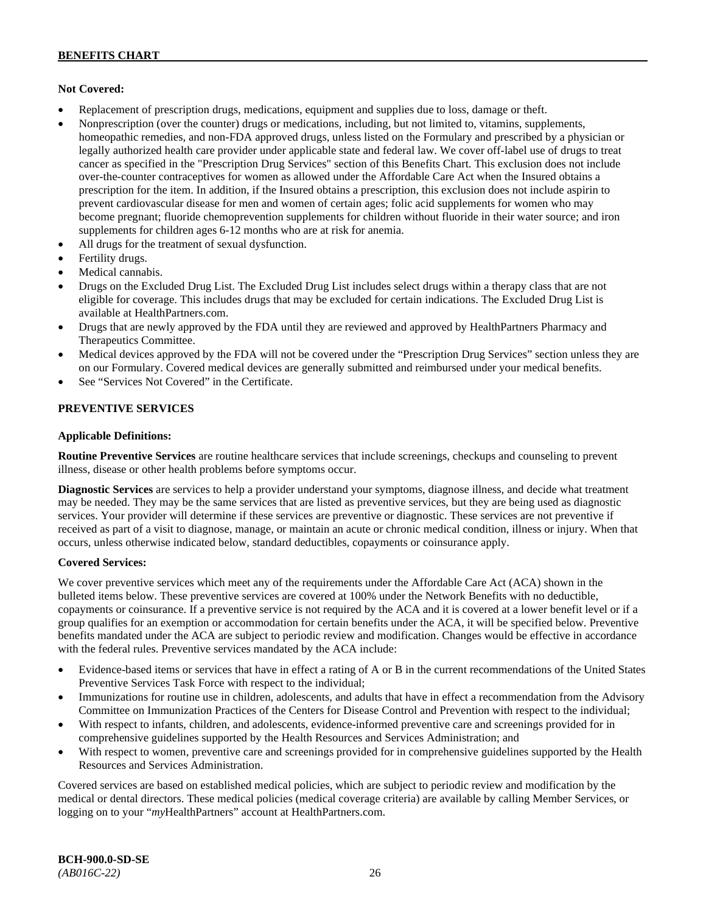### **Not Covered:**

- Replacement of prescription drugs, medications, equipment and supplies due to loss, damage or theft.
- Nonprescription (over the counter) drugs or medications, including, but not limited to, vitamins, supplements, homeopathic remedies, and non-FDA approved drugs, unless listed on the Formulary and prescribed by a physician or legally authorized health care provider under applicable state and federal law. We cover off-label use of drugs to treat cancer as specified in the "Prescription Drug Services" section of this Benefits Chart. This exclusion does not include over-the-counter contraceptives for women as allowed under the Affordable Care Act when the Insured obtains a prescription for the item. In addition, if the Insured obtains a prescription, this exclusion does not include aspirin to prevent cardiovascular disease for men and women of certain ages; folic acid supplements for women who may become pregnant; fluoride chemoprevention supplements for children without fluoride in their water source; and iron supplements for children ages 6-12 months who are at risk for anemia.
- All drugs for the treatment of sexual dysfunction.
- Fertility drugs.
- Medical cannabis.
- Drugs on the Excluded Drug List. The Excluded Drug List includes select drugs within a therapy class that are not eligible for coverage. This includes drugs that may be excluded for certain indications. The Excluded Drug List is available a[t HealthPartners.com.](http://www.healthpartners.com/)
- Drugs that are newly approved by the FDA until they are reviewed and approved by HealthPartners Pharmacy and Therapeutics Committee.
- Medical devices approved by the FDA will not be covered under the "Prescription Drug Services" section unless they are on our Formulary. Covered medical devices are generally submitted and reimbursed under your medical benefits.
- See "Services Not Covered" in the Certificate.

# **PREVENTIVE SERVICES**

### **Applicable Definitions:**

**Routine Preventive Services** are routine healthcare services that include screenings, checkups and counseling to prevent illness, disease or other health problems before symptoms occur.

**Diagnostic Services** are services to help a provider understand your symptoms, diagnose illness, and decide what treatment may be needed. They may be the same services that are listed as preventive services, but they are being used as diagnostic services. Your provider will determine if these services are preventive or diagnostic. These services are not preventive if received as part of a visit to diagnose, manage, or maintain an acute or chronic medical condition, illness or injury. When that occurs, unless otherwise indicated below, standard deductibles, copayments or coinsurance apply.

### **Covered Services:**

We cover preventive services which meet any of the requirements under the Affordable Care Act (ACA) shown in the bulleted items below. These preventive services are covered at 100% under the Network Benefits with no deductible, copayments or coinsurance. If a preventive service is not required by the ACA and it is covered at a lower benefit level or if a group qualifies for an exemption or accommodation for certain benefits under the ACA, it will be specified below. Preventive benefits mandated under the ACA are subject to periodic review and modification. Changes would be effective in accordance with the federal rules. Preventive services mandated by the ACA include:

- Evidence-based items or services that have in effect a rating of A or B in the current recommendations of the United States Preventive Services Task Force with respect to the individual;
- Immunizations for routine use in children, adolescents, and adults that have in effect a recommendation from the Advisory Committee on Immunization Practices of the Centers for Disease Control and Prevention with respect to the individual;
- With respect to infants, children, and adolescents, evidence-informed preventive care and screenings provided for in comprehensive guidelines supported by the Health Resources and Services Administration; and
- With respect to women, preventive care and screenings provided for in comprehensive guidelines supported by the Health Resources and Services Administration.

Covered services are based on established medical policies, which are subject to periodic review and modification by the medical or dental directors. These medical policies (medical coverage criteria) are available by calling Member Services, or logging on to your "*my*HealthPartners" account at [HealthPartners.com.](http://www.healthpartners.com/)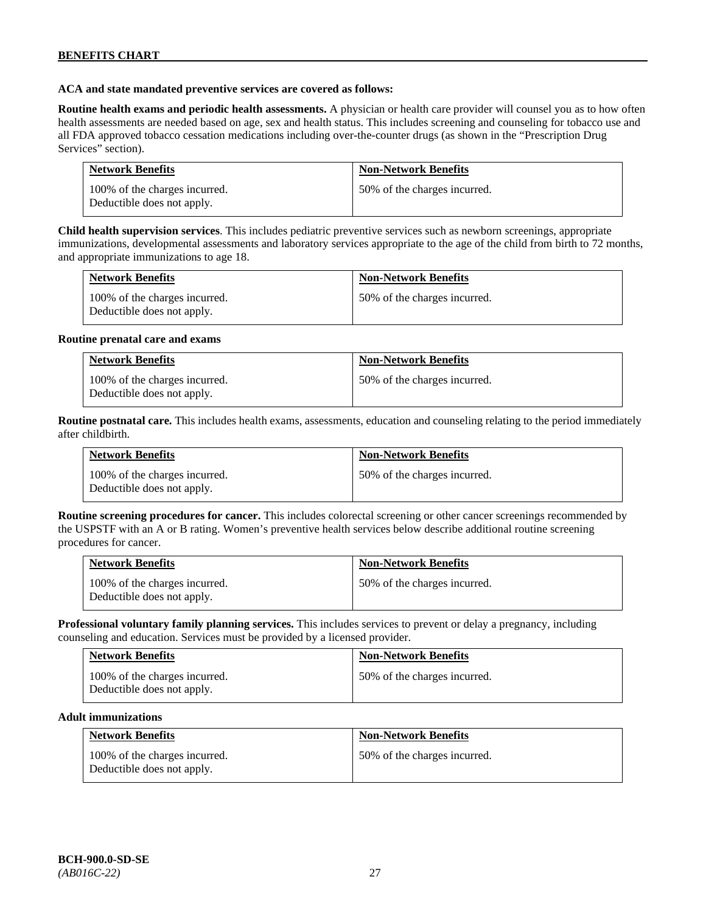### **ACA and state mandated preventive services are covered as follows:**

**Routine health exams and periodic health assessments.** A physician or health care provider will counsel you as to how often health assessments are needed based on age, sex and health status. This includes screening and counseling for tobacco use and all FDA approved tobacco cessation medications including over-the-counter drugs (as shown in the "Prescription Drug Services" section).

| <b>Network Benefits</b>                                     | <b>Non-Network Benefits</b>  |
|-------------------------------------------------------------|------------------------------|
| 100% of the charges incurred.<br>Deductible does not apply. | 50% of the charges incurred. |

**Child health supervision services**. This includes pediatric preventive services such as newborn screenings, appropriate immunizations, developmental assessments and laboratory services appropriate to the age of the child from birth to 72 months, and appropriate immunizations to age 18.

| <b>Network Benefits</b>                                     | <b>Non-Network Benefits</b>  |
|-------------------------------------------------------------|------------------------------|
| 100% of the charges incurred.<br>Deductible does not apply. | 50% of the charges incurred. |

#### **Routine prenatal care and exams**

| <b>Network Benefits</b>                                     | <b>Non-Network Benefits</b>  |
|-------------------------------------------------------------|------------------------------|
| 100% of the charges incurred.<br>Deductible does not apply. | 50% of the charges incurred. |

**Routine postnatal care.** This includes health exams, assessments, education and counseling relating to the period immediately after childbirth.

| <b>Network Benefits</b>                                     | <b>Non-Network Benefits</b>  |
|-------------------------------------------------------------|------------------------------|
| 100% of the charges incurred.<br>Deductible does not apply. | 50% of the charges incurred. |

**Routine screening procedures for cancer.** This includes colorectal screening or other cancer screenings recommended by the USPSTF with an A or B rating. Women's preventive health services below describe additional routine screening procedures for cancer.

| <b>Network Benefits</b>                                     | <b>Non-Network Benefits</b>  |
|-------------------------------------------------------------|------------------------------|
| 100% of the charges incurred.<br>Deductible does not apply. | 50% of the charges incurred. |

**Professional voluntary family planning services.** This includes services to prevent or delay a pregnancy, including counseling and education. Services must be provided by a licensed provider.

| <b>Network Benefits</b>                                     | <b>Non-Network Benefits</b>  |
|-------------------------------------------------------------|------------------------------|
| 100% of the charges incurred.<br>Deductible does not apply. | 50% of the charges incurred. |

#### **Adult immunizations**

| <b>Network Benefits</b>                                     | <b>Non-Network Benefits</b>  |
|-------------------------------------------------------------|------------------------------|
| 100% of the charges incurred.<br>Deductible does not apply. | 50% of the charges incurred. |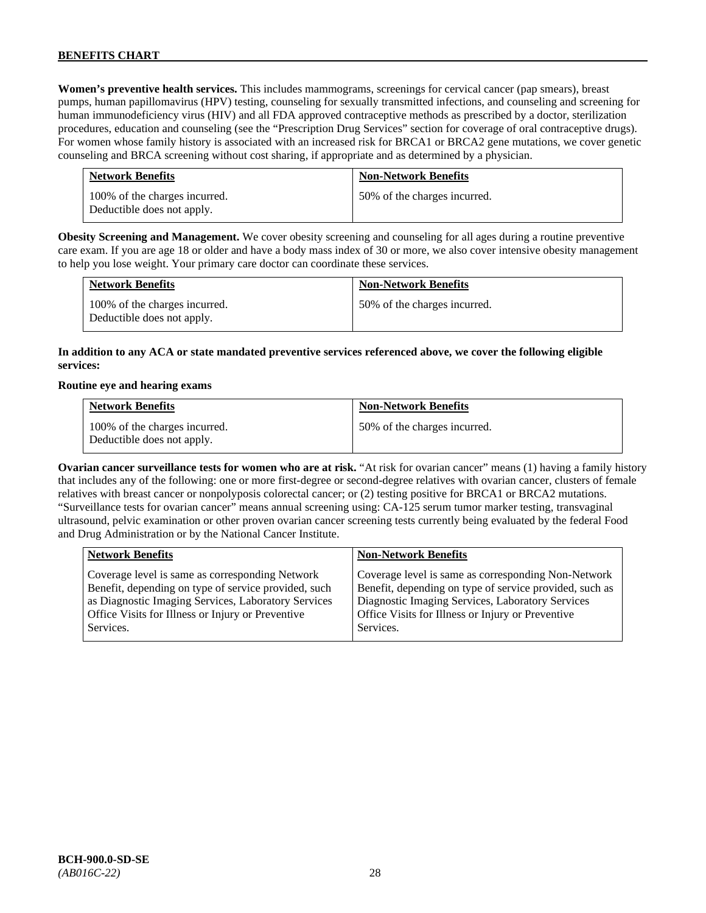**Women's preventive health services.** This includes mammograms, screenings for cervical cancer (pap smears), breast pumps, human papillomavirus (HPV) testing, counseling for sexually transmitted infections, and counseling and screening for human immunodeficiency virus (HIV) and all FDA approved contraceptive methods as prescribed by a doctor, sterilization procedures, education and counseling (see the "Prescription Drug Services" section for coverage of oral contraceptive drugs). For women whose family history is associated with an increased risk for BRCA1 or BRCA2 gene mutations, we cover genetic counseling and BRCA screening without cost sharing, if appropriate and as determined by a physician.

| <b>Network Benefits</b>                                     | <b>Non-Network Benefits</b>  |
|-------------------------------------------------------------|------------------------------|
| 100% of the charges incurred.<br>Deductible does not apply. | 50% of the charges incurred. |

**Obesity Screening and Management.** We cover obesity screening and counseling for all ages during a routine preventive care exam. If you are age 18 or older and have a body mass index of 30 or more, we also cover intensive obesity management to help you lose weight. Your primary care doctor can coordinate these services.

| <b>Network Benefits</b>                                     | <b>Non-Network Benefits</b>  |
|-------------------------------------------------------------|------------------------------|
| 100% of the charges incurred.<br>Deductible does not apply. | 50% of the charges incurred. |

## **In addition to any ACA or state mandated preventive services referenced above, we cover the following eligible services:**

#### **Routine eye and hearing exams**

| <b>Network Benefits</b>                                     | <b>Non-Network Benefits</b>  |
|-------------------------------------------------------------|------------------------------|
| 100% of the charges incurred.<br>Deductible does not apply. | 50% of the charges incurred. |

**Ovarian cancer surveillance tests for women who are at risk.** "At risk for ovarian cancer" means (1) having a family history that includes any of the following: one or more first-degree or second-degree relatives with ovarian cancer, clusters of female relatives with breast cancer or nonpolyposis colorectal cancer; or (2) testing positive for BRCA1 or BRCA2 mutations. "Surveillance tests for ovarian cancer" means annual screening using: CA-125 serum tumor marker testing, transvaginal ultrasound, pelvic examination or other proven ovarian cancer screening tests currently being evaluated by the federal Food and Drug Administration or by the National Cancer Institute.

| <b>Network Benefits</b>                              | <b>Non-Network Benefits</b>                             |
|------------------------------------------------------|---------------------------------------------------------|
| Coverage level is same as corresponding Network      | Coverage level is same as corresponding Non-Network     |
| Benefit, depending on type of service provided, such | Benefit, depending on type of service provided, such as |
| as Diagnostic Imaging Services, Laboratory Services  | Diagnostic Imaging Services, Laboratory Services        |
| Office Visits for Illness or Injury or Preventive    | Office Visits for Illness or Injury or Preventive       |
| Services.                                            | Services.                                               |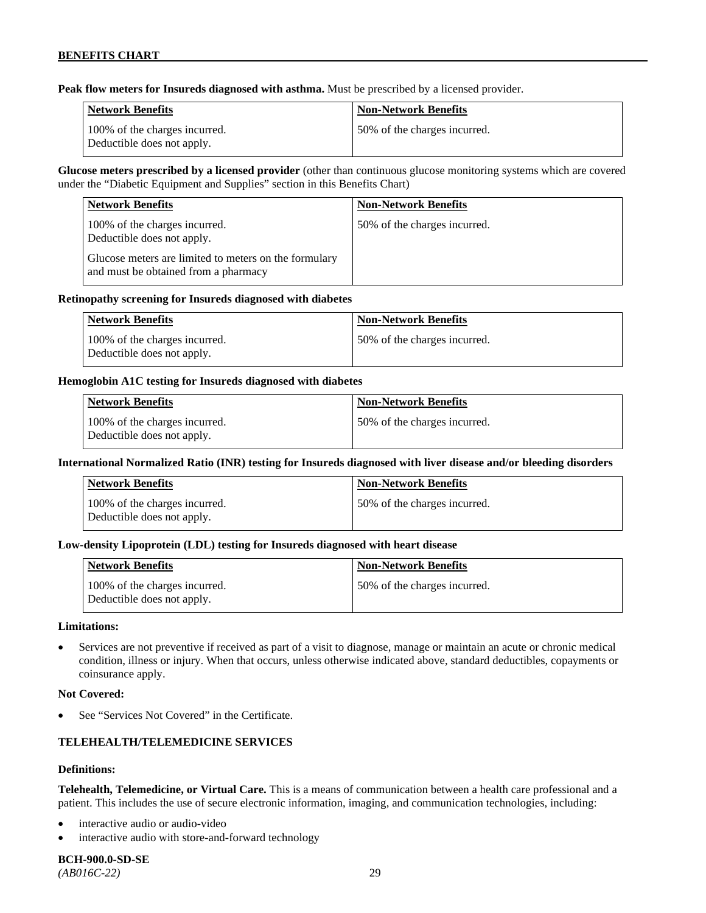**Peak flow meters for Insureds diagnosed with asthma.** Must be prescribed by a licensed provider.

| Network Benefits                                            | <b>Non-Network Benefits</b>   |
|-------------------------------------------------------------|-------------------------------|
| 100% of the charges incurred.<br>Deductible does not apply. | 150% of the charges incurred. |

**Glucose meters prescribed by a licensed provider** (other than continuous glucose monitoring systems which are covered under the "Diabetic Equipment and Supplies" section in this Benefits Chart)

| <b>Network Benefits</b>                                                                       | <b>Non-Network Benefits</b>  |
|-----------------------------------------------------------------------------------------------|------------------------------|
| 100% of the charges incurred.<br>Deductible does not apply.                                   | 50% of the charges incurred. |
| Glucose meters are limited to meters on the formulary<br>and must be obtained from a pharmacy |                              |

### **Retinopathy screening for Insureds diagnosed with diabetes**

| <b>Network Benefits</b>                                     | <b>Non-Network Benefits</b>  |
|-------------------------------------------------------------|------------------------------|
| 100% of the charges incurred.<br>Deductible does not apply. | 50% of the charges incurred. |

### **Hemoglobin A1C testing for Insureds diagnosed with diabetes**

| Network Benefits                                            | <b>Non-Network Benefits</b>  |
|-------------------------------------------------------------|------------------------------|
| 100% of the charges incurred.<br>Deductible does not apply. | 50% of the charges incurred. |

### **International Normalized Ratio (INR) testing for Insureds diagnosed with liver disease and/or bleeding disorders**

| Network Benefits                                            | <b>Non-Network Benefits</b>  |
|-------------------------------------------------------------|------------------------------|
| 100% of the charges incurred.<br>Deductible does not apply. | 50% of the charges incurred. |

### **Low-density Lipoprotein (LDL) testing for Insureds diagnosed with heart disease**

| <b>Network Benefits</b>                                     | <b>Non-Network Benefits</b>   |
|-------------------------------------------------------------|-------------------------------|
| 100% of the charges incurred.<br>Deductible does not apply. | 150% of the charges incurred. |

#### **Limitations:**

• Services are not preventive if received as part of a visit to diagnose, manage or maintain an acute or chronic medical condition, illness or injury. When that occurs, unless otherwise indicated above, standard deductibles, copayments or coinsurance apply.

#### **Not Covered:**

See "Services Not Covered" in the Certificate.

## **TELEHEALTH/TELEMEDICINE SERVICES**

#### **Definitions:**

**Telehealth, Telemedicine, or Virtual Care.** This is a means of communication between a health care professional and a patient. This includes the use of secure electronic information, imaging, and communication technologies, including:

- interactive audio or audio-video
- interactive audio with store-and-forward technology

# **BCH-900.0-SD-SE**

*(AB016C-22)* 29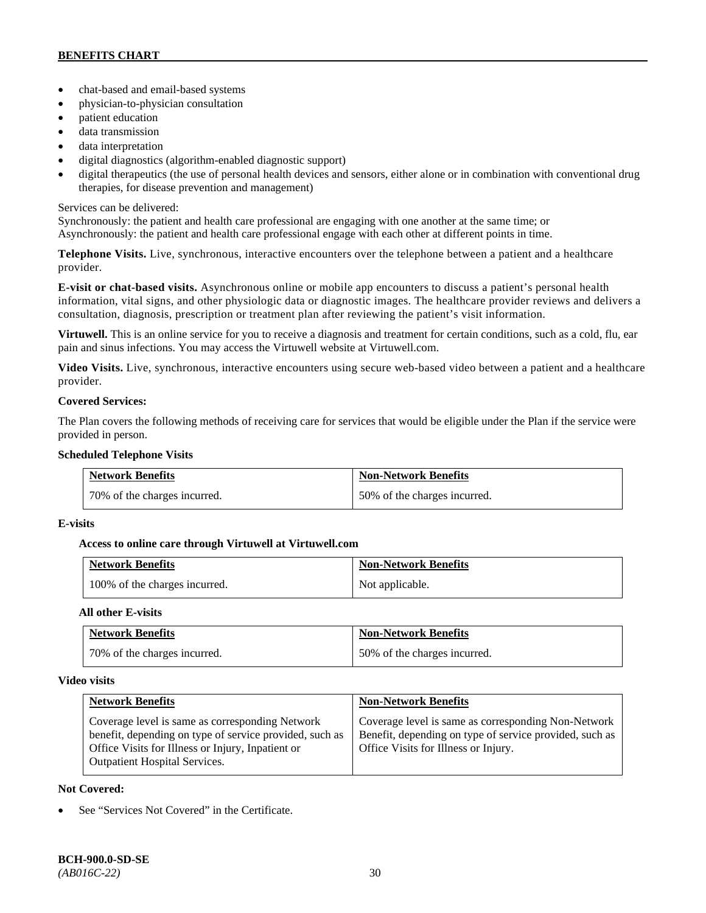- chat-based and email-based systems
- physician-to-physician consultation
- patient education
- data transmission
- data interpretation
- digital diagnostics (algorithm-enabled diagnostic support)
- digital therapeutics (the use of personal health devices and sensors, either alone or in combination with conventional drug therapies, for disease prevention and management)

## Services can be delivered:

Synchronously: the patient and health care professional are engaging with one another at the same time; or Asynchronously: the patient and health care professional engage with each other at different points in time.

**Telephone Visits.** Live, synchronous, interactive encounters over the telephone between a patient and a healthcare provider.

**E-visit or chat-based visits.** Asynchronous online or mobile app encounters to discuss a patient's personal health information, vital signs, and other physiologic data or diagnostic images. The healthcare provider reviews and delivers a consultation, diagnosis, prescription or treatment plan after reviewing the patient's visit information.

**Virtuwell.** This is an online service for you to receive a diagnosis and treatment for certain conditions, such as a cold, flu, ear pain and sinus infections. You may access the Virtuwell website at [Virtuwell.com.](https://www.virtuwell.com/)

**Video Visits.** Live, synchronous, interactive encounters using secure web-based video between a patient and a healthcare provider.

# **Covered Services:**

The Plan covers the following methods of receiving care for services that would be eligible under the Plan if the service were provided in person.

### **Scheduled Telephone Visits**

| <b>Network Benefits</b>      | <b>Non-Network Benefits</b>  |
|------------------------------|------------------------------|
| 70% of the charges incurred. | 50% of the charges incurred. |

### **E-visits**

### **Access to online care through Virtuwell at [Virtuwell.com](http://www.virtuwell.com/)**

| <b>Network Benefits</b>       | <b>Non-Network Benefits</b> |
|-------------------------------|-----------------------------|
| 100% of the charges incurred. | Not applicable.             |

### **All other E-visits**

| <b>Network Benefits</b>      | <b>Non-Network Benefits</b>  |
|------------------------------|------------------------------|
| 70% of the charges incurred. | 50% of the charges incurred. |

### **Video visits**

| <b>Network Benefits</b>                                                                                                                                                                                 | <b>Non-Network Benefits</b>                                                                                                                            |
|---------------------------------------------------------------------------------------------------------------------------------------------------------------------------------------------------------|--------------------------------------------------------------------------------------------------------------------------------------------------------|
| Coverage level is same as corresponding Network<br>benefit, depending on type of service provided, such as<br>Office Visits for Illness or Injury, Inpatient or<br><b>Outpatient Hospital Services.</b> | Coverage level is same as corresponding Non-Network<br>Benefit, depending on type of service provided, such as<br>Office Visits for Illness or Injury. |

### **Not Covered:**

See "Services Not Covered" in the Certificate.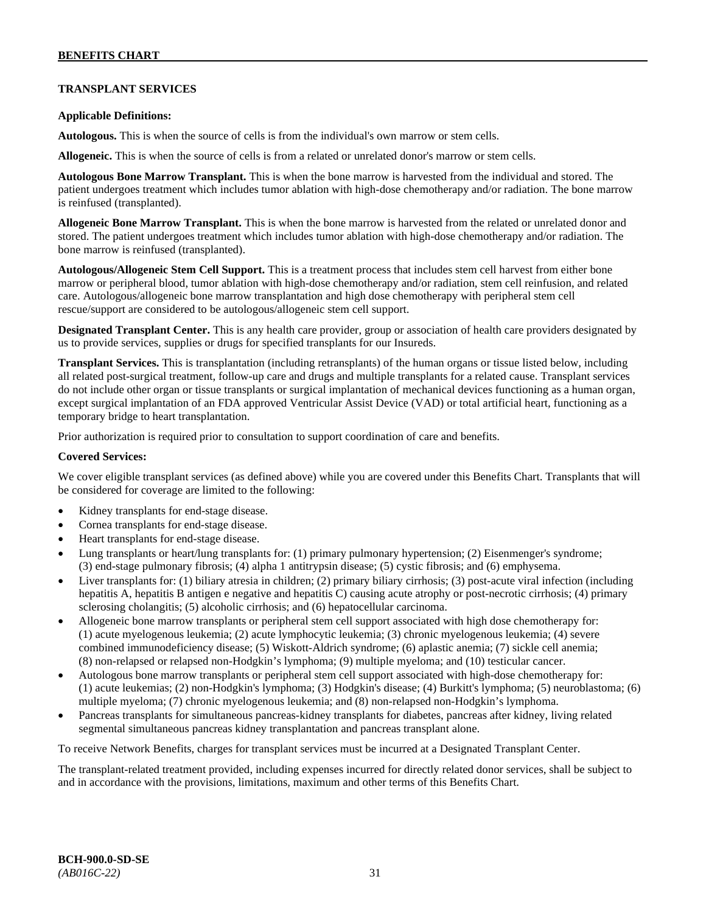# **TRANSPLANT SERVICES**

### **Applicable Definitions:**

**Autologous.** This is when the source of cells is from the individual's own marrow or stem cells.

**Allogeneic.** This is when the source of cells is from a related or unrelated donor's marrow or stem cells.

**Autologous Bone Marrow Transplant.** This is when the bone marrow is harvested from the individual and stored. The patient undergoes treatment which includes tumor ablation with high-dose chemotherapy and/or radiation. The bone marrow is reinfused (transplanted).

**Allogeneic Bone Marrow Transplant.** This is when the bone marrow is harvested from the related or unrelated donor and stored. The patient undergoes treatment which includes tumor ablation with high-dose chemotherapy and/or radiation. The bone marrow is reinfused (transplanted).

**Autologous/Allogeneic Stem Cell Support.** This is a treatment process that includes stem cell harvest from either bone marrow or peripheral blood, tumor ablation with high-dose chemotherapy and/or radiation, stem cell reinfusion, and related care. Autologous/allogeneic bone marrow transplantation and high dose chemotherapy with peripheral stem cell rescue/support are considered to be autologous/allogeneic stem cell support.

**Designated Transplant Center.** This is any health care provider, group or association of health care providers designated by us to provide services, supplies or drugs for specified transplants for our Insureds.

**Transplant Services.** This is transplantation (including retransplants) of the human organs or tissue listed below, including all related post-surgical treatment, follow-up care and drugs and multiple transplants for a related cause. Transplant services do not include other organ or tissue transplants or surgical implantation of mechanical devices functioning as a human organ, except surgical implantation of an FDA approved Ventricular Assist Device (VAD) or total artificial heart, functioning as a temporary bridge to heart transplantation.

Prior authorization is required prior to consultation to support coordination of care and benefits.

### **Covered Services:**

We cover eligible transplant services (as defined above) while you are covered under this Benefits Chart. Transplants that will be considered for coverage are limited to the following:

- Kidney transplants for end-stage disease.
- Cornea transplants for end-stage disease.
- Heart transplants for end-stage disease.
- Lung transplants or heart/lung transplants for: (1) primary pulmonary hypertension; (2) Eisenmenger's syndrome; (3) end-stage pulmonary fibrosis; (4) alpha 1 antitrypsin disease; (5) cystic fibrosis; and (6) emphysema.
- Liver transplants for: (1) biliary atresia in children; (2) primary biliary cirrhosis; (3) post-acute viral infection (including hepatitis A, hepatitis B antigen e negative and hepatitis C) causing acute atrophy or post-necrotic cirrhosis; (4) primary sclerosing cholangitis; (5) alcoholic cirrhosis; and (6) hepatocellular carcinoma.
- Allogeneic bone marrow transplants or peripheral stem cell support associated with high dose chemotherapy for: (1) acute myelogenous leukemia; (2) acute lymphocytic leukemia; (3) chronic myelogenous leukemia; (4) severe combined immunodeficiency disease; (5) Wiskott-Aldrich syndrome; (6) aplastic anemia; (7) sickle cell anemia; (8) non-relapsed or relapsed non-Hodgkin's lymphoma; (9) multiple myeloma; and (10) testicular cancer.
- Autologous bone marrow transplants or peripheral stem cell support associated with high-dose chemotherapy for: (1) acute leukemias; (2) non-Hodgkin's lymphoma; (3) Hodgkin's disease; (4) Burkitt's lymphoma; (5) neuroblastoma; (6) multiple myeloma; (7) chronic myelogenous leukemia; and (8) non-relapsed non-Hodgkin's lymphoma.
- Pancreas transplants for simultaneous pancreas-kidney transplants for diabetes, pancreas after kidney, living related segmental simultaneous pancreas kidney transplantation and pancreas transplant alone.

To receive Network Benefits, charges for transplant services must be incurred at a Designated Transplant Center.

The transplant-related treatment provided, including expenses incurred for directly related donor services, shall be subject to and in accordance with the provisions, limitations, maximum and other terms of this Benefits Chart.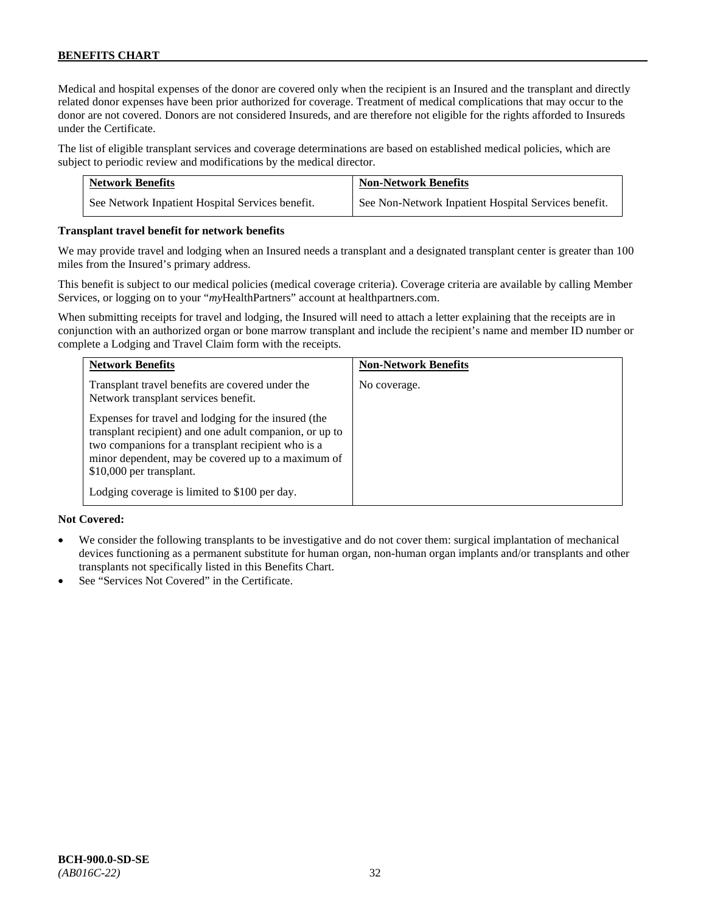Medical and hospital expenses of the donor are covered only when the recipient is an Insured and the transplant and directly related donor expenses have been prior authorized for coverage. Treatment of medical complications that may occur to the donor are not covered. Donors are not considered Insureds, and are therefore not eligible for the rights afforded to Insureds under the Certificate.

The list of eligible transplant services and coverage determinations are based on established medical policies, which are subject to periodic review and modifications by the medical director.

| <b>Network Benefits</b>                          | <b>Non-Network Benefits</b>                          |
|--------------------------------------------------|------------------------------------------------------|
| See Network Inpatient Hospital Services benefit. | See Non-Network Inpatient Hospital Services benefit. |

### **Transplant travel benefit for network benefits**

We may provide travel and lodging when an Insured needs a transplant and a designated transplant center is greater than 100 miles from the Insured's primary address.

This benefit is subject to our medical policies (medical coverage criteria). Coverage criteria are available by calling Member Services, or logging on to your "*my*HealthPartners" account a[t healthpartners.com.](http://www.healthpartners.com/)

When submitting receipts for travel and lodging, the Insured will need to attach a letter explaining that the receipts are in conjunction with an authorized organ or bone marrow transplant and include the recipient's name and member ID number or complete a Lodging and Travel Claim form with the receipts.

| <b>Network Benefits</b>                                                                                                                                                                                                                                                                                  | <b>Non-Network Benefits</b> |
|----------------------------------------------------------------------------------------------------------------------------------------------------------------------------------------------------------------------------------------------------------------------------------------------------------|-----------------------------|
| Transplant travel benefits are covered under the<br>Network transplant services benefit.                                                                                                                                                                                                                 | No coverage.                |
| Expenses for travel and lodging for the insured (the<br>transplant recipient) and one adult companion, or up to<br>two companions for a transplant recipient who is a<br>minor dependent, may be covered up to a maximum of<br>\$10,000 per transplant.<br>Lodging coverage is limited to \$100 per day. |                             |

### **Not Covered:**

- We consider the following transplants to be investigative and do not cover them: surgical implantation of mechanical devices functioning as a permanent substitute for human organ, non-human organ implants and/or transplants and other transplants not specifically listed in this Benefits Chart.
- See "Services Not Covered" in the Certificate.